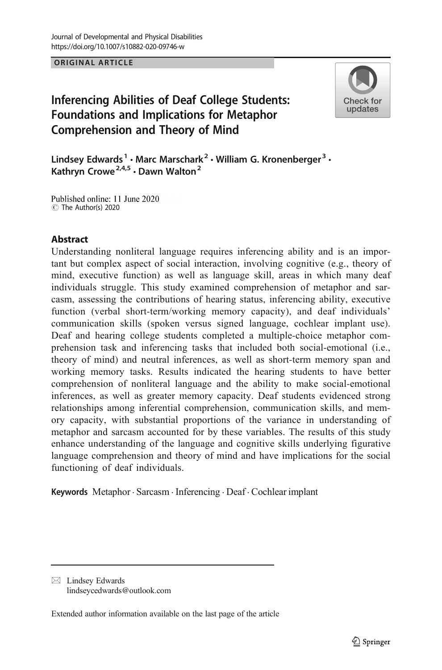ORIGINAL ARTICLE

# Inferencing Abilities of Deaf College Students: Foundations and Implications for Metaphor Comprehension and Theory of Mind



Lindsey Edwards<sup>1</sup> · Marc Marschark<sup>2</sup> · William G. Kronenberger<sup>3</sup> · Kathryn Crowe<sup>2,4,5</sup>  $\cdot$  Dawn Walton<sup>2</sup>

Published online: 11 June 2020 C The Author(s) 2020

# Abstract

Understanding nonliteral language requires inferencing ability and is an important but complex aspect of social interaction, involving cognitive (e.g., theory of mind, executive function) as well as language skill, areas in which many deaf individuals struggle. This study examined comprehension of metaphor and sarcasm, assessing the contributions of hearing status, inferencing ability, executive function (verbal short-term/working memory capacity), and deaf individuals' communication skills (spoken versus signed language, cochlear implant use). Deaf and hearing college students completed a multiple-choice metaphor comprehension task and inferencing tasks that included both social-emotional (i.e., theory of mind) and neutral inferences, as well as short-term memory span and working memory tasks. Results indicated the hearing students to have better comprehension of nonliteral language and the ability to make social-emotional inferences, as well as greater memory capacity. Deaf students evidenced strong relationships among inferential comprehension, communication skills, and memory capacity, with substantial proportions of the variance in understanding of metaphor and sarcasm accounted for by these variables. The results of this study enhance understanding of the language and cognitive skills underlying figurative language comprehension and theory of mind and have implications for the social functioning of deaf individuals.

Keywords Metaphor . Sarcasm . Inferencing . Deaf . Cochlear implant

 $\boxtimes$  Lindsey Edwards [lindseycedwards@outlook.com](mailto:lindseycedwards@outlook.com)

Extended author information available on the last page of the article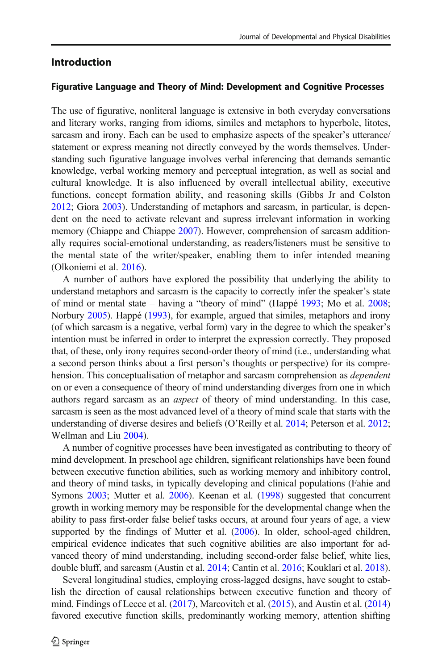# Introduction

#### Figurative Language and Theory of Mind: Development and Cognitive Processes

The use of figurative, nonliteral language is extensive in both everyday conversations and literary works, ranging from idioms, similes and metaphors to hyperbole, litotes, sarcasm and irony. Each can be used to emphasize aspects of the speaker's utterance/ statement or express meaning not directly conveyed by the words themselves. Understanding such figurative language involves verbal inferencing that demands semantic knowledge, verbal working memory and perceptual integration, as well as social and cultural knowledge. It is also influenced by overall intellectual ability, executive functions, concept formation ability, and reasoning skills (Gibbs Jr and Colston [2012;](#page-22-0) Giora [2003](#page-22-0)). Understanding of metaphors and sarcasm, in particular, is dependent on the need to activate relevant and supress irrelevant information in working memory (Chiappe and Chiappe [2007\)](#page-22-0). However, comprehension of sarcasm additionally requires social-emotional understanding, as readers/listeners must be sensitive to the mental state of the writer/speaker, enabling them to infer intended meaning (Olkoniemi et al. [2016](#page-24-0)).

A number of authors have explored the possibility that underlying the ability to understand metaphors and sarcasm is the capacity to correctly infer the speaker's state of mind or mental state – having a "theory of mind" (Happé [1993](#page-22-0); Mo et al. [2008;](#page-24-0) Norbury [2005\)](#page-24-0). Happé ([1993](#page-22-0)), for example, argued that similes, metaphors and irony (of which sarcasm is a negative, verbal form) vary in the degree to which the speaker's intention must be inferred in order to interpret the expression correctly. They proposed that, of these, only irony requires second-order theory of mind (i.e., understanding what a second person thinks about a first person's thoughts or perspective) for its comprehension. This conceptualisation of metaphor and sarcasm comprehension as *dependent* on or even a consequence of theory of mind understanding diverges from one in which authors regard sarcasm as an aspect of theory of mind understanding. In this case, sarcasm is seen as the most advanced level of a theory of mind scale that starts with the understanding of diverse desires and beliefs (O'Reilly et al. [2014;](#page-24-0) Peterson et al. [2012;](#page-25-0) Wellman and Liu [2004\)](#page-25-0).

A number of cognitive processes have been investigated as contributing to theory of mind development. In preschool age children, significant relationships have been found between executive function abilities, such as working memory and inhibitory control, and theory of mind tasks, in typically developing and clinical populations (Fahie and Symons [2003](#page-22-0); Mutter et al. [2006\)](#page-24-0). Keenan et al. [\(1998\)](#page-23-0) suggested that concurrent growth in working memory may be responsible for the developmental change when the ability to pass first-order false belief tasks occurs, at around four years of age, a view supported by the findings of Mutter et al. [\(2006\)](#page-24-0). In older, school-aged children, empirical evidence indicates that such cognitive abilities are also important for advanced theory of mind understanding, including second-order false belief, white lies, double bluff, and sarcasm (Austin et al. [2014;](#page-21-0) Cantin et al. [2016](#page-22-0); Kouklari et al. [2018\)](#page-23-0).

Several longitudinal studies, employing cross-lagged designs, have sought to establish the direction of causal relationships between executive function and theory of mind. Findings of Lecce et al. ([2017](#page-23-0)), Marcovitch et al. ([2015](#page-23-0)), and Austin et al. ([2014](#page-21-0)) favored executive function skills, predominantly working memory, attention shifting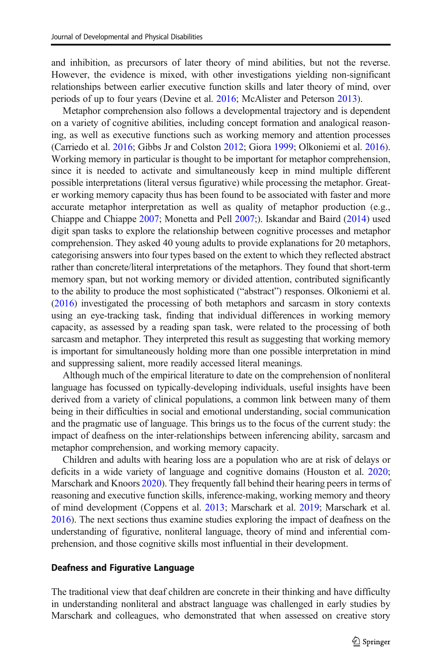and inhibition, as precursors of later theory of mind abilities, but not the reverse. However, the evidence is mixed, with other investigations yielding non-significant relationships between earlier executive function skills and later theory of mind, over periods of up to four years (Devine et al. [2016;](#page-22-0) McAlister and Peterson [2013](#page-24-0)).

Metaphor comprehension also follows a developmental trajectory and is dependent on a variety of cognitive abilities, including concept formation and analogical reasoning, as well as executive functions such as working memory and attention processes (Carriedo et al. [2016;](#page-22-0) Gibbs Jr and Colston [2012](#page-22-0); Giora [1999;](#page-22-0) Olkoniemi et al. [2016\)](#page-24-0). Working memory in particular is thought to be important for metaphor comprehension, since it is needed to activate and simultaneously keep in mind multiple different possible interpretations (literal versus figurative) while processing the metaphor. Greater working memory capacity thus has been found to be associated with faster and more accurate metaphor interpretation as well as quality of metaphor production (e.g., Chiappe and Chiappe [2007](#page-22-0); Monetta and Pell [2007](#page-24-0);). Iskandar and Baird ([2014](#page-23-0)) used digit span tasks to explore the relationship between cognitive processes and metaphor comprehension. They asked 40 young adults to provide explanations for 20 metaphors, categorising answers into four types based on the extent to which they reflected abstract rather than concrete/literal interpretations of the metaphors. They found that short-term memory span, but not working memory or divided attention, contributed significantly to the ability to produce the most sophisticated ("abstract") responses. Olkoniemi et al. [\(2016\)](#page-24-0) investigated the processing of both metaphors and sarcasm in story contexts using an eye-tracking task, finding that individual differences in working memory capacity, as assessed by a reading span task, were related to the processing of both sarcasm and metaphor. They interpreted this result as suggesting that working memory is important for simultaneously holding more than one possible interpretation in mind and suppressing salient, more readily accessed literal meanings.

Although much of the empirical literature to date on the comprehension of nonliteral language has focussed on typically-developing individuals, useful insights have been derived from a variety of clinical populations, a common link between many of them being in their difficulties in social and emotional understanding, social communication and the pragmatic use of language. This brings us to the focus of the current study: the impact of deafness on the inter-relationships between inferencing ability, sarcasm and metaphor comprehension, and working memory capacity.

Children and adults with hearing loss are a population who are at risk of delays or deficits in a wide variety of language and cognitive domains (Houston et al. [2020;](#page-23-0) Marschark and Knoors [2020\)](#page-23-0). They frequently fall behind their hearing peers in terms of reasoning and executive function skills, inference-making, working memory and theory of mind development (Coppens et al. [2013;](#page-22-0) Marschark et al. [2019](#page-23-0); Marschark et al. [2016\)](#page-23-0). The next sections thus examine studies exploring the impact of deafness on the understanding of figurative, nonliteral language, theory of mind and inferential comprehension, and those cognitive skills most influential in their development.

### Deafness and Figurative Language

The traditional view that deaf children are concrete in their thinking and have difficulty in understanding nonliteral and abstract language was challenged in early studies by Marschark and colleagues, who demonstrated that when assessed on creative story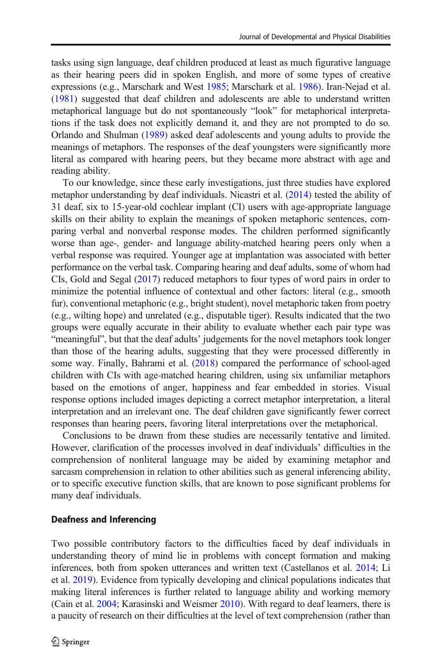tasks using sign language, deaf children produced at least as much figurative language as their hearing peers did in spoken English, and more of some types of creative expressions (e.g., Marschark and West [1985;](#page-24-0) Marschark et al. [1986](#page-24-0)). Iran-Nejad et al. [\(1981\)](#page-23-0) suggested that deaf children and adolescents are able to understand written metaphorical language but do not spontaneously "look" for metaphorical interpretations if the task does not explicitly demand it, and they are not prompted to do so. Orlando and Shulman ([1989\)](#page-24-0) asked deaf adolescents and young adults to provide the meanings of metaphors. The responses of the deaf youngsters were significantly more literal as compared with hearing peers, but they became more abstract with age and reading ability.

To our knowledge, since these early investigations, just three studies have explored metaphor understanding by deaf individuals. Nicastri et al. [\(2014\)](#page-24-0) tested the ability of 31 deaf, six to 15-year-old cochlear implant (CI) users with age-appropriate language skills on their ability to explain the meanings of spoken metaphoric sentences, comparing verbal and nonverbal response modes. The children performed significantly worse than age-, gender- and language ability-matched hearing peers only when a verbal response was required. Younger age at implantation was associated with better performance on the verbal task. Comparing hearing and deaf adults, some of whom had CIs, Gold and Segal ([2017](#page-22-0)) reduced metaphors to four types of word pairs in order to minimize the potential influence of contextual and other factors: literal (e.g., smooth fur), conventional metaphoric (e.g., bright student), novel metaphoric taken from poetry (e.g., wilting hope) and unrelated (e.g., disputable tiger). Results indicated that the two groups were equally accurate in their ability to evaluate whether each pair type was "meaningful", but that the deaf adults' judgements for the novel metaphors took longer than those of the hearing adults, suggesting that they were processed differently in some way. Finally, Bahrami et al. [\(2018\)](#page-21-0) compared the performance of school-aged children with CIs with age-matched hearing children, using six unfamiliar metaphors based on the emotions of anger, happiness and fear embedded in stories. Visual response options included images depicting a correct metaphor interpretation, a literal interpretation and an irrelevant one. The deaf children gave significantly fewer correct responses than hearing peers, favoring literal interpretations over the metaphorical.

Conclusions to be drawn from these studies are necessarily tentative and limited. However, clarification of the processes involved in deaf individuals' difficulties in the comprehension of nonliteral language may be aided by examining metaphor and sarcasm comprehension in relation to other abilities such as general inferencing ability, or to specific executive function skills, that are known to pose significant problems for many deaf individuals.

#### Deafness and Inferencing

Two possible contributory factors to the difficulties faced by deaf individuals in understanding theory of mind lie in problems with concept formation and making inferences, both from spoken utterances and written text (Castellanos et al. [2014;](#page-22-0) Li et al. [2019\)](#page-23-0). Evidence from typically developing and clinical populations indicates that making literal inferences is further related to language ability and working memory (Cain et al. [2004;](#page-22-0) Karasinski and Weismer [2010\)](#page-23-0). With regard to deaf learners, there is a paucity of research on their difficulties at the level of text comprehension (rather than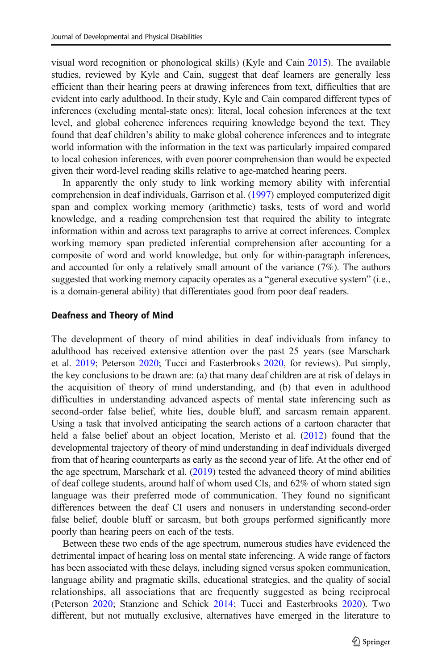visual word recognition or phonological skills) (Kyle and Cain [2015\)](#page-23-0). The available studies, reviewed by Kyle and Cain, suggest that deaf learners are generally less efficient than their hearing peers at drawing inferences from text, difficulties that are evident into early adulthood. In their study, Kyle and Cain compared different types of inferences (excluding mental-state ones): literal, local cohesion inferences at the text level, and global coherence inferences requiring knowledge beyond the text. They found that deaf children's ability to make global coherence inferences and to integrate world information with the information in the text was particularly impaired compared to local cohesion inferences, with even poorer comprehension than would be expected given their word-level reading skills relative to age-matched hearing peers.

In apparently the only study to link working memory ability with inferential comprehension in deaf individuals, Garrison et al. ([1997](#page-22-0)) employed computerized digit span and complex working memory (arithmetic) tasks, tests of word and world knowledge, and a reading comprehension test that required the ability to integrate information within and across text paragraphs to arrive at correct inferences. Complex working memory span predicted inferential comprehension after accounting for a composite of word and world knowledge, but only for within-paragraph inferences, and accounted for only a relatively small amount of the variance (7%). The authors suggested that working memory capacity operates as a "general executive system" (i.e., is a domain-general ability) that differentiates good from poor deaf readers.

#### Deafness and Theory of Mind

The development of theory of mind abilities in deaf individuals from infancy to adulthood has received extensive attention over the past 25 years (see Marschark et al. [2019;](#page-23-0) Peterson [2020;](#page-24-0) Tucci and Easterbrooks [2020,](#page-25-0) for reviews). Put simply, the key conclusions to be drawn are: (a) that many deaf children are at risk of delays in the acquisition of theory of mind understanding, and (b) that even in adulthood difficulties in understanding advanced aspects of mental state inferencing such as second-order false belief, white lies, double bluff, and sarcasm remain apparent. Using a task that involved anticipating the search actions of a cartoon character that held a false belief about an object location, Meristo et al. [\(2012\)](#page-24-0) found that the developmental trajectory of theory of mind understanding in deaf individuals diverged from that of hearing counterparts as early as the second year of life. At the other end of the age spectrum, Marschark et al. ([2019](#page-23-0)) tested the advanced theory of mind abilities of deaf college students, around half of whom used CIs, and 62% of whom stated sign language was their preferred mode of communication. They found no significant differences between the deaf CI users and nonusers in understanding second-order false belief, double bluff or sarcasm, but both groups performed significantly more poorly than hearing peers on each of the tests.

Between these two ends of the age spectrum, numerous studies have evidenced the detrimental impact of hearing loss on mental state inferencing. A wide range of factors has been associated with these delays, including signed versus spoken communication, language ability and pragmatic skills, educational strategies, and the quality of social relationships, all associations that are frequently suggested as being reciprocal (Peterson [2020](#page-24-0); Stanzione and Schick [2014](#page-25-0); Tucci and Easterbrooks [2020](#page-25-0)). Two different, but not mutually exclusive, alternatives have emerged in the literature to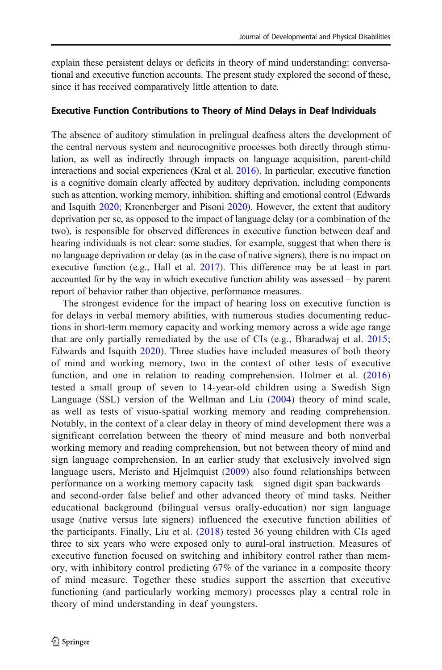explain these persistent delays or deficits in theory of mind understanding: conversational and executive function accounts. The present study explored the second of these, since it has received comparatively little attention to date.

#### Executive Function Contributions to Theory of Mind Delays in Deaf Individuals

The absence of auditory stimulation in prelingual deafness alters the development of the central nervous system and neurocognitive processes both directly through stimulation, as well as indirectly through impacts on language acquisition, parent-child interactions and social experiences (Kral et al. [2016\)](#page-23-0). In particular, executive function is a cognitive domain clearly affected by auditory deprivation, including components such as attention, working memory, inhibition, shifting and emotional control (Edwards and Isquith [2020](#page-22-0); Kronenberger and Pisoni [2020\)](#page-23-0). However, the extent that auditory deprivation per se, as opposed to the impact of language delay (or a combination of the two), is responsible for observed differences in executive function between deaf and hearing individuals is not clear: some studies, for example, suggest that when there is no language deprivation or delay (as in the case of native signers), there is no impact on executive function (e.g., Hall et al. [2017\)](#page-22-0). This difference may be at least in part accounted for by the way in which executive function ability was assessed – by parent report of behavior rather than objective, performance measures.

The strongest evidence for the impact of hearing loss on executive function is for delays in verbal memory abilities, with numerous studies documenting reductions in short-term memory capacity and working memory across a wide age range that are only partially remediated by the use of CIs (e.g., Bharadwaj et al. [2015;](#page-22-0) Edwards and Isquith [2020\)](#page-22-0). Three studies have included measures of both theory of mind and working memory, two in the context of other tests of executive function, and one in relation to reading comprehension. Holmer et al. ([2016](#page-23-0)) tested a small group of seven to 14-year-old children using a Swedish Sign Language (SSL) version of the Wellman and Liu [\(2004\)](#page-25-0) theory of mind scale, as well as tests of visuo-spatial working memory and reading comprehension. Notably, in the context of a clear delay in theory of mind development there was a significant correlation between the theory of mind measure and both nonverbal working memory and reading comprehension, but not between theory of mind and sign language comprehension. In an earlier study that exclusively involved sign language users, Meristo and Hjelmquist [\(2009\)](#page-24-0) also found relationships between performance on a working memory capacity task—signed digit span backwards and second-order false belief and other advanced theory of mind tasks. Neither educational background (bilingual versus orally-education) nor sign language usage (native versus late signers) influenced the executive function abilities of the participants. Finally, Liu et al. [\(2018\)](#page-23-0) tested 36 young children with CIs aged three to six years who were exposed only to aural-oral instruction. Measures of executive function focused on switching and inhibitory control rather than memory, with inhibitory control predicting 67% of the variance in a composite theory of mind measure. Together these studies support the assertion that executive functioning (and particularly working memory) processes play a central role in theory of mind understanding in deaf youngsters.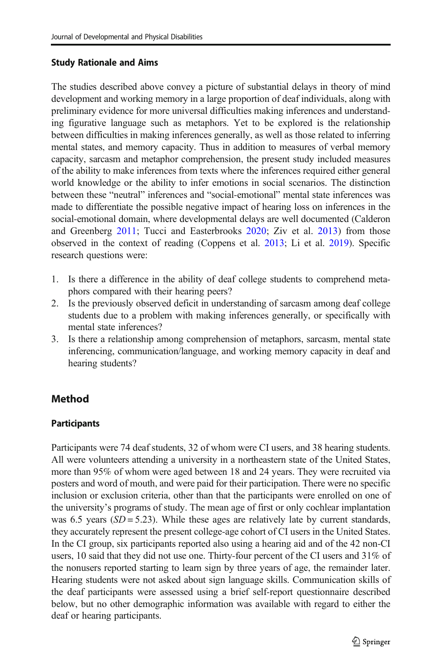### Study Rationale and Aims

The studies described above convey a picture of substantial delays in theory of mind development and working memory in a large proportion of deaf individuals, along with preliminary evidence for more universal difficulties making inferences and understanding figurative language such as metaphors. Yet to be explored is the relationship between difficulties in making inferences generally, as well as those related to inferring mental states, and memory capacity. Thus in addition to measures of verbal memory capacity, sarcasm and metaphor comprehension, the present study included measures of the ability to make inferences from texts where the inferences required either general world knowledge or the ability to infer emotions in social scenarios. The distinction between these "neutral" inferences and "social-emotional" mental state inferences was made to differentiate the possible negative impact of hearing loss on inferences in the social-emotional domain, where developmental delays are well documented (Calderon and Greenberg [2011;](#page-22-0) Tucci and Easterbrooks [2020;](#page-25-0) Ziv et al. [2013](#page-25-0)) from those observed in the context of reading (Coppens et al. [2013;](#page-22-0) Li et al. [2019\)](#page-23-0). Specific research questions were:

- 1. Is there a difference in the ability of deaf college students to comprehend metaphors compared with their hearing peers?
- 2. Is the previously observed deficit in understanding of sarcasm among deaf college students due to a problem with making inferences generally, or specifically with mental state inferences?
- 3. Is there a relationship among comprehension of metaphors, sarcasm, mental state inferencing, communication/language, and working memory capacity in deaf and hearing students?

# Method

# **Participants**

Participants were 74 deaf students, 32 of whom were CI users, and 38 hearing students. All were volunteers attending a university in a northeastern state of the United States, more than 95% of whom were aged between 18 and 24 years. They were recruited via posters and word of mouth, and were paid for their participation. There were no specific inclusion or exclusion criteria, other than that the participants were enrolled on one of the university's programs of study. The mean age of first or only cochlear implantation was 6.5 years  $(SD = 5.23)$ . While these ages are relatively late by current standards, they accurately represent the present college-age cohort of CI users in the United States. In the CI group, six participants reported also using a hearing aid and of the 42 non-CI users, 10 said that they did not use one. Thirty-four percent of the CI users and 31% of the nonusers reported starting to learn sign by three years of age, the remainder later. Hearing students were not asked about sign language skills. Communication skills of the deaf participants were assessed using a brief self-report questionnaire described below, but no other demographic information was available with regard to either the deaf or hearing participants.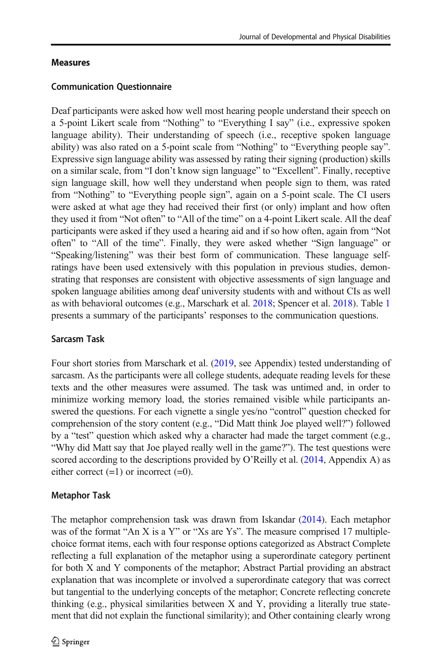# Measures

### Communication Questionnaire

Deaf participants were asked how well most hearing people understand their speech on a 5-point Likert scale from "Nothing" to "Everything I say" (i.e., expressive spoken language ability). Their understanding of speech (i.e., receptive spoken language ability) was also rated on a 5-point scale from "Nothing" to "Everything people say". Expressive sign language ability was assessed by rating their signing (production) skills on a similar scale, from "I don't know sign language" to "Excellent". Finally, receptive sign language skill, how well they understand when people sign to them, was rated from "Nothing" to "Everything people sign", again on a 5-point scale. The CI users were asked at what age they had received their first (or only) implant and how often they used it from "Not often" to "All of the time" on a 4-point Likert scale. All the deaf participants were asked if they used a hearing aid and if so how often, again from "Not often" to "All of the time". Finally, they were asked whether "Sign language" or "Speaking/listening" was their best form of communication. These language selfratings have been used extensively with this population in previous studies, demonstrating that responses are consistent with objective assessments of sign language and spoken language abilities among deaf university students with and without CIs as well as with behavioral outcomes (e.g., Marschark et al. [2018](#page-23-0); Spencer et al. [2018\)](#page-25-0). Table [1](#page-8-0) presents a summary of the participants' responses to the communication questions.

# Sarcasm Task

Four short stories from Marschark et al. [\(2019](#page-23-0), see Appendix) tested understanding of sarcasm. As the participants were all college students, adequate reading levels for these texts and the other measures were assumed. The task was untimed and, in order to minimize working memory load, the stories remained visible while participants answered the questions. For each vignette a single yes/no "control" question checked for comprehension of the story content (e.g., "Did Matt think Joe played well?") followed by a "test" question which asked why a character had made the target comment (e.g., "Why did Matt say that Joe played really well in the game?"). The test questions were scored according to the descriptions provided by O'Reilly et al.  $(2014,$  Appendix A) as either correct  $(=1)$  or incorrect  $(=0)$ .

# Metaphor Task

The metaphor comprehension task was drawn from Iskandar [\(2014\)](#page-23-0). Each metaphor was of the format "An X is a Y" or "Xs are Ys". The measure comprised 17 multiplechoice format items, each with four response options categorized as Abstract Complete reflecting a full explanation of the metaphor using a superordinate category pertinent for both X and Y components of the metaphor; Abstract Partial providing an abstract explanation that was incomplete or involved a superordinate category that was correct but tangential to the underlying concepts of the metaphor; Concrete reflecting concrete thinking (e.g., physical similarities between X and Y, providing a literally true statement that did not explain the functional similarity); and Other containing clearly wrong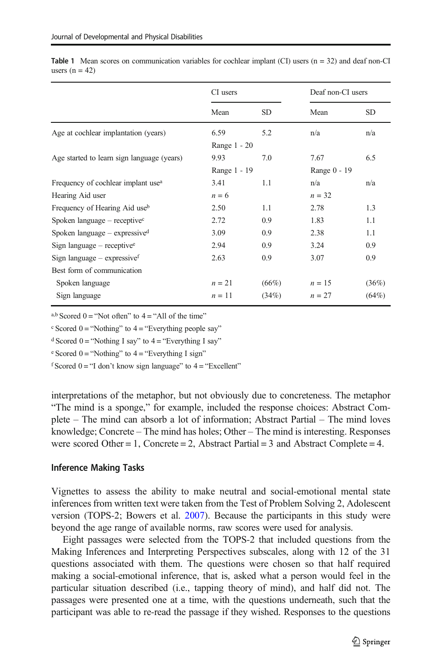|                                                | CI users     |           | Deaf non-CI users |           |
|------------------------------------------------|--------------|-----------|-------------------|-----------|
|                                                | Mean         | <b>SD</b> | Mean              | <b>SD</b> |
| Age at cochlear implantation (years)           | 6.59         | 5.2       | n/a               | n/a       |
|                                                | Range 1 - 20 |           |                   |           |
| Age started to learn sign language (years)     | 9.93         | 7.0       | 7.67              | 6.5       |
|                                                | Range 1 - 19 |           | Range 0 - 19      |           |
| Frequency of cochlear implant use <sup>a</sup> | 3.41         | 1.1       | n/a               | n/a       |
| Hearing Aid user                               | $n = 6$      |           | $n = 32$          |           |
| Frequency of Hearing Aid use <sup>b</sup>      | 2.50         | 1.1       | 2.78              | 1.3       |
| Spoken language $-$ receptive <sup>c</sup>     | 2.72         | 0.9       | 1.83              | 1.1       |
| Spoken language $-$ expressived                | 3.09         | 0.9       | 2.38              | 1.1       |
| Sign language $-$ receptive <sup>e</sup>       | 2.94         | 0.9       | 3.24              | 0.9       |
| Sign language $-$ expressive $f$               | 2.63         | 0.9       | 3.07              | 0.9       |
| Best form of communication                     |              |           |                   |           |
| Spoken language                                | $n = 21$     | $(66\%)$  | $n = 15$          | (36%)     |
| Sign language                                  | $n=11$       | (34%)     | $n = 27$          | (64%)     |

<span id="page-8-0"></span>**Table 1** Mean scores on communication variables for cochlear implant (CI) users  $(n = 32)$  and deaf non-CI users  $(n = 42)$ 

a,b Scored  $0 =$  "Not often" to  $4 =$  "All of the time"

 $\textdegree$  Scored 0 = "Nothing" to 4 = "Everything people say"

<sup>d</sup> Scored 0 = "Nothing I say" to  $4$  = "Everything I say"

 $e$  Scored 0 = "Nothing" to 4 = "Everything I sign"

 $f$  Scored  $0 =$  "I don't know sign language" to  $4 =$  "Excellent"

interpretations of the metaphor, but not obviously due to concreteness. The metaphor "The mind is a sponge," for example, included the response choices: Abstract Complete – The mind can absorb a lot of information; Abstract Partial – The mind loves knowledge; Concrete – The mind has holes; Other – The mind is interesting. Responses were scored Other = 1, Concrete = 2, Abstract Partial = 3 and Abstract Complete = 4.

#### Inference Making Tasks

Vignettes to assess the ability to make neutral and social-emotional mental state inferences from written text were taken from the Test of Problem Solving 2, Adolescent version (TOPS-2; Bowers et al. [2007](#page-22-0)). Because the participants in this study were beyond the age range of available norms, raw scores were used for analysis.

Eight passages were selected from the TOPS-2 that included questions from the Making Inferences and Interpreting Perspectives subscales, along with 12 of the 31 questions associated with them. The questions were chosen so that half required making a social-emotional inference, that is, asked what a person would feel in the particular situation described (i.e., tapping theory of mind), and half did not. The passages were presented one at a time, with the questions underneath, such that the participant was able to re-read the passage if they wished. Responses to the questions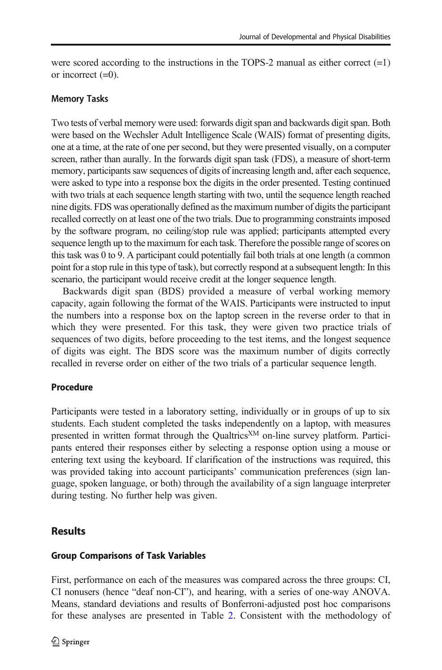were scored according to the instructions in the TOPS-2 manual as either correct  $(=1)$ or incorrect  $(=0)$ .

### Memory Tasks

Two tests of verbal memory were used: forwards digit span and backwards digit span. Both were based on the Wechsler Adult Intelligence Scale (WAIS) format of presenting digits, one at a time, at the rate of one per second, but they were presented visually, on a computer screen, rather than aurally. In the forwards digit span task (FDS), a measure of short-term memory, participants saw sequences of digits of increasing length and, after each sequence, were asked to type into a response box the digits in the order presented. Testing continued with two trials at each sequence length starting with two, until the sequence length reached nine digits. FDS was operationally defined as the maximum number of digits the participant recalled correctly on at least one of the two trials. Due to programming constraints imposed by the software program, no ceiling/stop rule was applied; participants attempted every sequence length up to the maximum for each task. Therefore the possible range of scores on this task was 0 to 9. A participant could potentially fail both trials at one length (a common point for a stop rule in this type of task), but correctly respond at a subsequent length: In this scenario, the participant would receive credit at the longer sequence length.

Backwards digit span (BDS) provided a measure of verbal working memory capacity, again following the format of the WAIS. Participants were instructed to input the numbers into a response box on the laptop screen in the reverse order to that in which they were presented. For this task, they were given two practice trials of sequences of two digits, before proceeding to the test items, and the longest sequence of digits was eight. The BDS score was the maximum number of digits correctly recalled in reverse order on either of the two trials of a particular sequence length.

# Procedure

Participants were tested in a laboratory setting, individually or in groups of up to six students. Each student completed the tasks independently on a laptop, with measures presented in written format through the Qualtrics<sup>XM</sup> on-line survey platform. Participants entered their responses either by selecting a response option using a mouse or entering text using the keyboard. If clarification of the instructions was required, this was provided taking into account participants' communication preferences (sign language, spoken language, or both) through the availability of a sign language interpreter during testing. No further help was given.

# **Results**

# Group Comparisons of Task Variables

First, performance on each of the measures was compared across the three groups: CI, CI nonusers (hence "deaf non-CI"), and hearing, with a series of one-way ANOVA. Means, standard deviations and results of Bonferroni-adjusted post hoc comparisons for these analyses are presented in Table [2.](#page-10-0) Consistent with the methodology of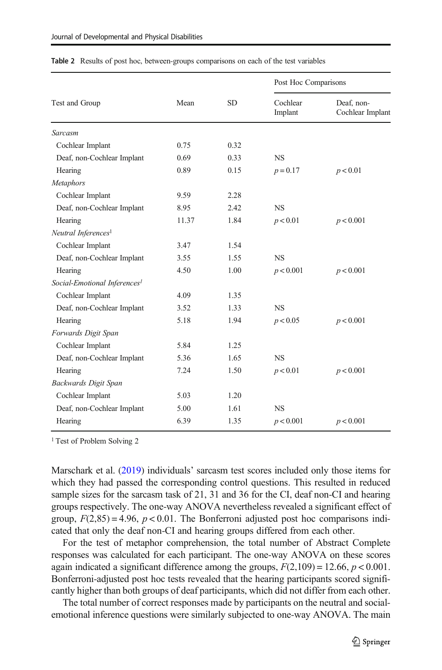|                                          | Mean  | <b>SD</b> | Post Hoc Comparisons |                                |  |
|------------------------------------------|-------|-----------|----------------------|--------------------------------|--|
| Test and Group                           |       |           | Cochlear<br>Implant  | Deaf. non-<br>Cochlear Implant |  |
| Sarcasm                                  |       |           |                      |                                |  |
| Cochlear Implant                         | 0.75  | 0.32      |                      |                                |  |
| Deaf, non-Cochlear Implant               | 0.69  | 0.33      | <b>NS</b>            |                                |  |
| Hearing                                  | 0.89  | 0.15      | $p = 0.17$           | p < 0.01                       |  |
| <b>Metaphors</b>                         |       |           |                      |                                |  |
| Cochlear Implant                         | 9.59  | 2.28      |                      |                                |  |
| Deaf, non-Cochlear Implant               | 8.95  | 2.42      | <b>NS</b>            |                                |  |
| Hearing                                  | 11.37 | 1.84      | p < 0.01             | p < 0.001                      |  |
| Neutral Inferences <sup>1</sup>          |       |           |                      |                                |  |
| Cochlear Implant                         | 3.47  | 1.54      |                      |                                |  |
| Deaf, non-Cochlear Implant               | 3.55  | 1.55      | <b>NS</b>            |                                |  |
| Hearing                                  | 4.50  | 1.00      | p < 0.001            | p < 0.001                      |  |
| Social-Emotional Inferences <sup>1</sup> |       |           |                      |                                |  |
| Cochlear Implant                         | 4.09  | 1.35      |                      |                                |  |
| Deaf, non-Cochlear Implant               | 3.52  | 1.33      | <b>NS</b>            |                                |  |
| Hearing                                  | 5.18  | 1.94      | p < 0.05             | p < 0.001                      |  |
| Forwards Digit Span                      |       |           |                      |                                |  |
| Cochlear Implant                         | 5.84  | 1.25      |                      |                                |  |
| Deaf, non-Cochlear Implant               | 5.36  | 1.65      | <b>NS</b>            |                                |  |
| Hearing                                  | 7.24  | 1.50      | p < 0.01             | p < 0.001                      |  |
| Backwards Digit Span                     |       |           |                      |                                |  |
| Cochlear Implant                         | 5.03  | 1.20      |                      |                                |  |
| Deaf, non-Cochlear Implant               | 5.00  | 1.61      | <b>NS</b>            |                                |  |
| Hearing                                  | 6.39  | 1.35      | p < 0.001            | p < 0.001                      |  |

<span id="page-10-0"></span>Table 2 Results of post hoc, between-groups comparisons on each of the test variables

<sup>1</sup> Test of Problem Solving 2

Marschark et al. ([2019](#page-23-0)) individuals' sarcasm test scores included only those items for which they had passed the corresponding control questions. This resulted in reduced sample sizes for the sarcasm task of 21, 31 and 36 for the CI, deaf non-CI and hearing groups respectively. The one-way ANOVA nevertheless revealed a significant effect of group,  $F(2,85) = 4.96$ ,  $p < 0.01$ . The Bonferroni adjusted post hoc comparisons indicated that only the deaf non-CI and hearing groups differed from each other.

For the test of metaphor comprehension, the total number of Abstract Complete responses was calculated for each participant. The one-way ANOVA on these scores again indicated a significant difference among the groups,  $F(2,109) = 12.66$ ,  $p < 0.001$ . Bonferroni-adjusted post hoc tests revealed that the hearing participants scored significantly higher than both groups of deaf participants, which did not differ from each other.

The total number of correct responses made by participants on the neutral and socialemotional inference questions were similarly subjected to one-way ANOVA. The main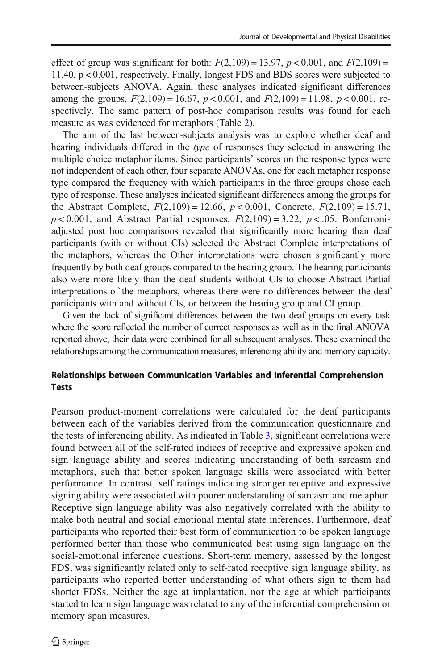effect of group was significant for both:  $F(2,109) = 13.97$ ,  $p < 0.001$ , and  $F(2,109) =$ 11.40, p < 0.001, respectively. Finally, longest FDS and BDS scores were subjected to between-subjects ANOVA. Again, these analyses indicated significant differences among the groups,  $F(2,109) = 16.67$ ,  $p < 0.001$ , and  $F(2,109) = 11.98$ ,  $p < 0.001$ , respectively. The same pattern of post-hoc comparison results was found for each measure as was evidenced for metaphors (Table [2\)](#page-10-0).

The aim of the last between-subjects analysis was to explore whether deaf and hearing individuals differed in the type of responses they selected in answering the multiple choice metaphor items. Since participants' scores on the response types were not independent of each other, four separate ANOVAs, one for each metaphor response type compared the frequency with which participants in the three groups chose each type of response. These analyses indicated significant differences among the groups for the Abstract Complete,  $F(2,109) = 12.66$ ,  $p < 0.001$ , Concrete,  $F(2,109) = 15.71$ ,  $p < 0.001$ , and Abstract Partial responses,  $F(2,109) = 3.22$ ,  $p < .05$ . Bonferroniadjusted post hoc comparisons revealed that significantly more hearing than deaf participants (with or without CIs) selected the Abstract Complete interpretations of the metaphors, whereas the Other interpretations were chosen significantly more frequently by both deaf groups compared to the hearing group. The hearing participants also were more likely than the deaf students without CIs to choose Abstract Partial interpretations of the metaphors, whereas there were no differences between the deaf participants with and without CIs, or between the hearing group and CI group.

Given the lack of significant differences between the two deaf groups on every task where the score reflected the number of correct responses as well as in the final ANOVA reported above, their data were combined for all subsequent analyses. These examined the relationships among the communication measures, inferencing ability and memory capacity.

# Relationships between Communication Variables and Inferential Comprehension Tests

Pearson product-moment correlations were calculated for the deaf participants between each of the variables derived from the communication questionnaire and the tests of inferencing ability. As indicated in Table [3](#page-12-0), significant correlations were found between all of the self-rated indices of receptive and expressive spoken and sign language ability and scores indicating understanding of both sarcasm and metaphors, such that better spoken language skills were associated with better performance. In contrast, self ratings indicating stronger receptive and expressive signing ability were associated with poorer understanding of sarcasm and metaphor. Receptive sign language ability was also negatively correlated with the ability to make both neutral and social emotional mental state inferences. Furthermore, deaf participants who reported their best form of communication to be spoken language performed better than those who communicated best using sign language on the social-emotional inference questions. Short-term memory, assessed by the longest FDS, was significantly related only to self-rated receptive sign language ability, as participants who reported better understanding of what others sign to them had shorter FDSs. Neither the age at implantation, nor the age at which participants started to learn sign language was related to any of the inferential comprehension or memory span measures.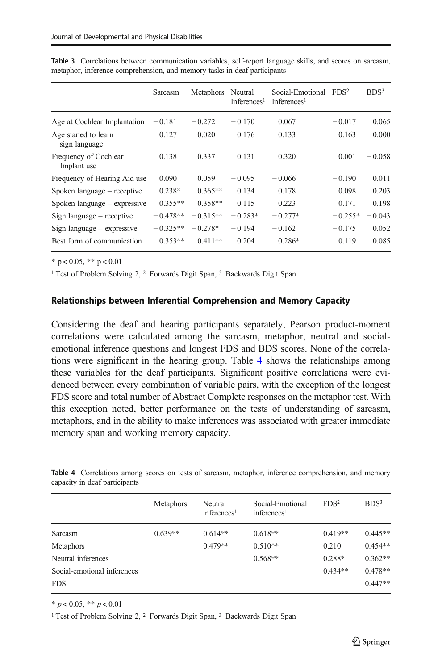|                                       | Sarcasm    | Metaphors  | Neutral<br>Inferences <sup>1</sup> | Social-Emotional<br>Inferences <sup>1</sup> | FDS <sup>2</sup> | BDS <sup>3</sup> |
|---------------------------------------|------------|------------|------------------------------------|---------------------------------------------|------------------|------------------|
| Age at Cochlear Implantation          | $-0.181$   | $-0.272$   | $-0.170$                           | 0.067                                       | $-0.017$         | 0.065            |
| Age started to learn<br>sign language | 0.127      | 0.020      | 0.176                              | 0.133                                       | 0.163            | 0.000            |
| Frequency of Cochlear<br>Implant use  | 0.138      | 0.337      | 0.131                              | 0.320                                       | 0.001            | $-0.058$         |
| Frequency of Hearing Aid use          | 0.090      | 0.059      | $-0.095$                           | $-0.066$                                    | $-0.190$         | 0.011            |
| Spoken language – receptive           | $0.238*$   | $0.365**$  | 0.134                              | 0.178                                       | 0.098            | 0.203            |
| Spoken language $-$ expressive        | $0.355**$  | $0.358**$  | 0.115                              | 0.223                                       | 0.171            | 0.198            |
| Sign language $-$ receptive           | $-0.478**$ | $-0.315**$ | $-0.283*$                          | $-0.277*$                                   | $-0.255*$        | $-0.043$         |
| Sign language $-$ expressive          | $-0.325**$ | $-0.278*$  | $-0.194$                           | $-0.162$                                    | $-0.175$         | 0.052            |
| Best form of communication            | $0.353**$  | $0.411**$  | 0.204                              | $0.286*$                                    | 0.119            | 0.085            |

<span id="page-12-0"></span>Table 3 Correlations between communication variables, self-report language skills, and scores on sarcasm, metaphor, inference comprehension, and memory tasks in deaf participants

 $*$  p < 0.05,  $**$  p < 0.01

<sup>1</sup> Test of Problem Solving 2, <sup>2</sup> Forwards Digit Span, <sup>3</sup> Backwards Digit Span

#### Relationships between Inferential Comprehension and Memory Capacity

Considering the deaf and hearing participants separately, Pearson product-moment correlations were calculated among the sarcasm, metaphor, neutral and socialemotional inference questions and longest FDS and BDS scores. None of the correlations were significant in the hearing group. Table 4 shows the relationships among these variables for the deaf participants. Significant positive correlations were evidenced between every combination of variable pairs, with the exception of the longest FDS score and total number of Abstract Complete responses on the metaphor test. With this exception noted, better performance on the tests of understanding of sarcasm, metaphors, and in the ability to make inferences was associated with greater immediate memory span and working memory capacity.

|                             | Metaphors | Neutral<br>inferences <sup>1</sup> | Social-Emotional<br>inferences <sup>1</sup> | FDS <sup>2</sup> | BDS <sup>3</sup> |
|-----------------------------|-----------|------------------------------------|---------------------------------------------|------------------|------------------|
| Sarcasm                     | $0.639**$ | $0.614**$                          | $0.618**$                                   | $0.419**$        | $0.445**$        |
| <b>Metaphors</b>            |           | $0.479**$                          | $0.510**$                                   | 0.210            | $0.454**$        |
| Neutral inferences          |           |                                    | $0.568**$                                   | 0.288*           | $0.362**$        |
| Social-emotional inferences |           |                                    |                                             | $0.434**$        | $0.478**$        |
| <b>FDS</b>                  |           |                                    |                                             |                  | $0.447**$        |
|                             |           |                                    |                                             |                  |                  |

Table 4 Correlations among scores on tests of sarcasm, metaphor, inference comprehension, and memory capacity in deaf participants

 $* p < 0.05, ** p < 0.01$ 

<sup>1</sup> Test of Problem Solving 2, <sup>2</sup> Forwards Digit Span, <sup>3</sup> Backwards Digit Span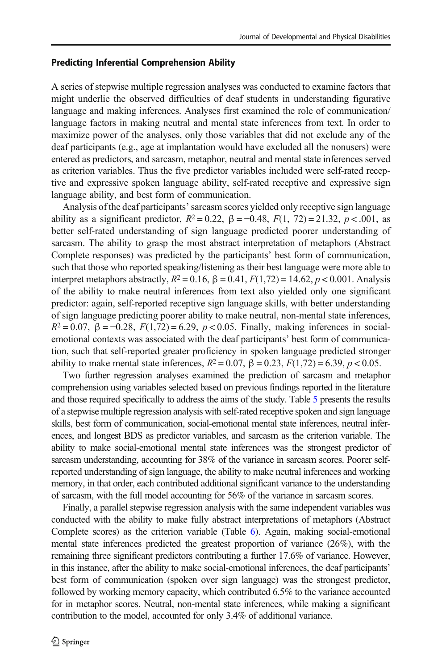### Predicting Inferential Comprehension Ability

A series of stepwise multiple regression analyses was conducted to examine factors that might underlie the observed difficulties of deaf students in understanding figurative language and making inferences. Analyses first examined the role of communication/ language factors in making neutral and mental state inferences from text. In order to maximize power of the analyses, only those variables that did not exclude any of the deaf participants (e.g., age at implantation would have excluded all the nonusers) were entered as predictors, and sarcasm, metaphor, neutral and mental state inferences served as criterion variables. Thus the five predictor variables included were self-rated receptive and expressive spoken language ability, self-rated receptive and expressive sign language ability, and best form of communication.

Analysis of the deaf participants'sarcasm scores yielded only receptive sign language ability as a significant predictor,  $R^2 = 0.22$ ,  $\beta = -0.48$ ,  $F(1, 72) = 21.32$ ,  $p < .001$ , as better self-rated understanding of sign language predicted poorer understanding of sarcasm. The ability to grasp the most abstract interpretation of metaphors (Abstract Complete responses) was predicted by the participants' best form of communication, such that those who reported speaking/listening as their best language were more able to interpret metaphors abstractly,  $R^2 = 0.16$ ,  $\beta = 0.41$ ,  $F(1,72) = 14.62$ ,  $p < 0.001$ . Analysis of the ability to make neutral inferences from text also yielded only one significant predictor: again, self-reported receptive sign language skills, with better understanding of sign language predicting poorer ability to make neutral, non-mental state inferences,  $R^2 = 0.07$ ,  $\beta = -0.28$ ,  $F(1,72) = 6.29$ ,  $p < 0.05$ . Finally, making inferences in socialemotional contexts was associated with the deaf participants' best form of communication, such that self-reported greater proficiency in spoken language predicted stronger ability to make mental state inferences,  $R^2 = 0.07$ ,  $\beta = 0.23$ ,  $F(1,72) = 6.39$ ,  $p < 0.05$ .

Two further regression analyses examined the prediction of sarcasm and metaphor comprehension using variables selected based on previous findings reported in the literature and those required specifically to address the aims of the study. Table [5](#page-14-0) presents the results of a stepwise multiple regression analysis with self-rated receptive spoken and sign language skills, best form of communication, social-emotional mental state inferences, neutral inferences, and longest BDS as predictor variables, and sarcasm as the criterion variable. The ability to make social-emotional mental state inferences was the strongest predictor of sarcasm understanding, accounting for 38% of the variance in sarcasm scores. Poorer selfreported understanding of sign language, the ability to make neutral inferences and working memory, in that order, each contributed additional significant variance to the understanding of sarcasm, with the full model accounting for 56% of the variance in sarcasm scores.

Finally, a parallel stepwise regression analysis with the same independent variables was conducted with the ability to make fully abstract interpretations of metaphors (Abstract Complete scores) as the criterion variable (Table [6\)](#page-15-0). Again, making social-emotional mental state inferences predicted the greatest proportion of variance (26%), with the remaining three significant predictors contributing a further 17.6% of variance. However, in this instance, after the ability to make social-emotional inferences, the deaf participants' best form of communication (spoken over sign language) was the strongest predictor, followed by working memory capacity, which contributed 6.5% to the variance accounted for in metaphor scores. Neutral, non-mental state inferences, while making a significant contribution to the model, accounted for only 3.4% of additional variance.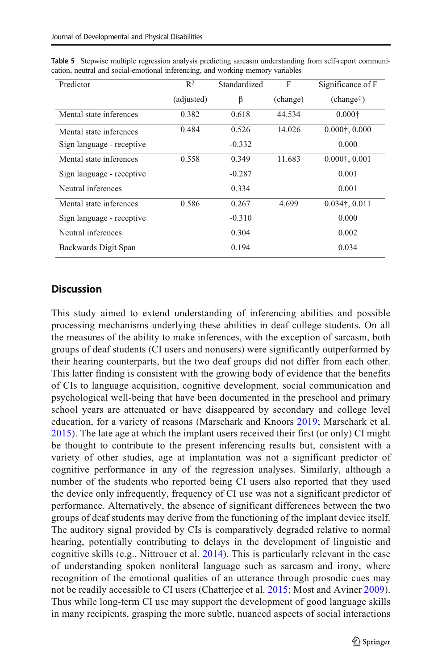| Predictor                 | $R^2$      | Standardized<br>F |          | Significance of F                                 |  |
|---------------------------|------------|-------------------|----------|---------------------------------------------------|--|
|                           | (adjusted) | β                 | (change) | (charget)                                         |  |
| Mental state inferences   | 0.382      | 0.618             | 44.534   | $0.000\dagger$                                    |  |
| Mental state inferences   | 0.484      | 0.526             | 14.026   | $0.000$ <sup><math>\dagger</math></sup> , $0.000$ |  |
| Sign language - receptive |            | $-0.332$          |          | 0.000                                             |  |
| Mental state inferences   | 0.558      | 0.349             | 11.683   | $0.000$ <sup><math>\dagger</math></sup> , $0.001$ |  |
| Sign language - receptive |            | $-0.287$          |          | 0.001                                             |  |
| Neutral inferences        |            | 0.334             |          | 0.001                                             |  |
| Mental state inferences   | 0.586      | 0.267             | 4.699    | $0.034$ †, $0.011$                                |  |
| Sign language - receptive |            | $-0.310$          |          | 0.000                                             |  |
| Neutral inferences        |            | 0.304             |          | 0.002                                             |  |
| Backwards Digit Span      |            | 0.194             |          | 0.034                                             |  |

<span id="page-14-0"></span>Table 5 Stepwise multiple regression analysis predicting sarcasm understanding from self-report communication, neutral and social-emotional inferencing, and working memory variables

# **Discussion**

This study aimed to extend understanding of inferencing abilities and possible processing mechanisms underlying these abilities in deaf college students. On all the measures of the ability to make inferences, with the exception of sarcasm, both groups of deaf students (CI users and nonusers) were significantly outperformed by their hearing counterparts, but the two deaf groups did not differ from each other. This latter finding is consistent with the growing body of evidence that the benefits of CIs to language acquisition, cognitive development, social communication and psychological well-being that have been documented in the preschool and primary school years are attenuated or have disappeared by secondary and college level education, for a variety of reasons (Marschark and Knoors [2019;](#page-23-0) Marschark et al. [2015](#page-23-0)). The late age at which the implant users received their first (or only) CI might be thought to contribute to the present inferencing results but, consistent with a variety of other studies, age at implantation was not a significant predictor of cognitive performance in any of the regression analyses. Similarly, although a number of the students who reported being CI users also reported that they used the device only infrequently, frequency of CI use was not a significant predictor of performance. Alternatively, the absence of significant differences between the two groups of deaf students may derive from the functioning of the implant device itself. The auditory signal provided by CIs is comparatively degraded relative to normal hearing, potentially contributing to delays in the development of linguistic and cognitive skills (e.g., Nittrouer et al. [2014\)](#page-24-0). This is particularly relevant in the case of understanding spoken nonliteral language such as sarcasm and irony, where recognition of the emotional qualities of an utterance through prosodic cues may not be readily accessible to CI users (Chatterjee et al. [2015;](#page-22-0) Most and Aviner [2009\)](#page-24-0). Thus while long-term CI use may support the development of good language skills in many recipients, grasping the more subtle, nuanced aspects of social interactions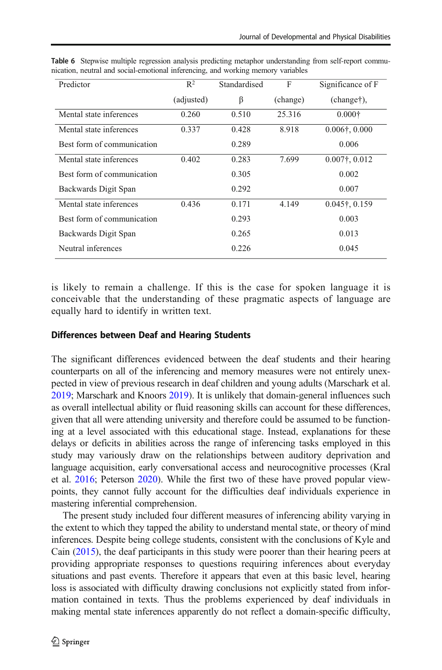| Predictor                  | $R^2$      | Standardised | F        | Significance of F              |
|----------------------------|------------|--------------|----------|--------------------------------|
|                            | (adjusted) | β            | (change) | (charget),                     |
| Mental state inferences    | 0.260      | 0.510        | 25.316   | $0.000 \dagger$                |
| Mental state inferences    | 0.337      | 0.428        | 8.918    | $0.006$ †, $0.000$             |
| Best form of communication |            | 0.289        |          | 0.006                          |
| Mental state inferences    | 0.402      | 0.283        | 7.699    | $0.007$ <sup>†</sup> , $0.012$ |
| Best form of communication |            | 0.305        |          | 0.002                          |
| Backwards Digit Span       |            | 0.292        |          | 0.007                          |
| Mental state inferences    | 0.436      | 0.171        | 4.149    | $0.045$ <sup>†</sup> , 0.159   |
| Best form of communication |            | 0.293        |          | 0.003                          |
| Backwards Digit Span       |            | 0.265        |          | 0.013                          |
| Neutral inferences         |            | 0.226        |          | 0.045                          |

<span id="page-15-0"></span>Table 6 Stepwise multiple regression analysis predicting metaphor understanding from self-report communication, neutral and social-emotional inferencing, and working memory variables

is likely to remain a challenge. If this is the case for spoken language it is conceivable that the understanding of these pragmatic aspects of language are equally hard to identify in written text.

# Differences between Deaf and Hearing Students

The significant differences evidenced between the deaf students and their hearing counterparts on all of the inferencing and memory measures were not entirely unexpected in view of previous research in deaf children and young adults (Marschark et al. [2019;](#page-23-0) Marschark and Knoors [2019\)](#page-23-0). It is unlikely that domain-general influences such as overall intellectual ability or fluid reasoning skills can account for these differences, given that all were attending university and therefore could be assumed to be functioning at a level associated with this educational stage. Instead, explanations for these delays or deficits in abilities across the range of inferencing tasks employed in this study may variously draw on the relationships between auditory deprivation and language acquisition, early conversational access and neurocognitive processes (Kral et al. [2016;](#page-23-0) Peterson [2020\)](#page-24-0). While the first two of these have proved popular viewpoints, they cannot fully account for the difficulties deaf individuals experience in mastering inferential comprehension.

The present study included four different measures of inferencing ability varying in the extent to which they tapped the ability to understand mental state, or theory of mind inferences. Despite being college students, consistent with the conclusions of Kyle and Cain  $(2015)$ , the deaf participants in this study were poorer than their hearing peers at providing appropriate responses to questions requiring inferences about everyday situations and past events. Therefore it appears that even at this basic level, hearing loss is associated with difficulty drawing conclusions not explicitly stated from information contained in texts. Thus the problems experienced by deaf individuals in making mental state inferences apparently do not reflect a domain-specific difficulty,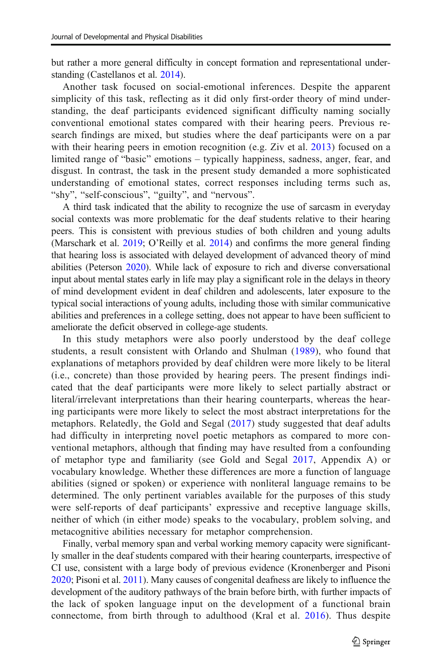but rather a more general difficulty in concept formation and representational understanding (Castellanos et al. [2014](#page-22-0)).

Another task focused on social-emotional inferences. Despite the apparent simplicity of this task, reflecting as it did only first-order theory of mind understanding, the deaf participants evidenced significant difficulty naming socially conventional emotional states compared with their hearing peers. Previous research findings are mixed, but studies where the deaf participants were on a par with their hearing peers in emotion recognition (e.g. Ziv et al. [2013\)](#page-25-0) focused on a limited range of "basic" emotions – typically happiness, sadness, anger, fear, and disgust. In contrast, the task in the present study demanded a more sophisticated understanding of emotional states, correct responses including terms such as, "shy", "self-conscious", "guilty", and "nervous".

A third task indicated that the ability to recognize the use of sarcasm in everyday social contexts was more problematic for the deaf students relative to their hearing peers. This is consistent with previous studies of both children and young adults (Marschark et al. [2019;](#page-23-0) O'Reilly et al. [2014\)](#page-24-0) and confirms the more general finding that hearing loss is associated with delayed development of advanced theory of mind abilities (Peterson [2020\)](#page-24-0). While lack of exposure to rich and diverse conversational input about mental states early in life may play a significant role in the delays in theory of mind development evident in deaf children and adolescents, later exposure to the typical social interactions of young adults, including those with similar communicative abilities and preferences in a college setting, does not appear to have been sufficient to ameliorate the deficit observed in college-age students.

In this study metaphors were also poorly understood by the deaf college students, a result consistent with Orlando and Shulman ([1989\)](#page-24-0), who found that explanations of metaphors provided by deaf children were more likely to be literal (i.e., concrete) than those provided by hearing peers. The present findings indicated that the deaf participants were more likely to select partially abstract or literal/irrelevant interpretations than their hearing counterparts, whereas the hearing participants were more likely to select the most abstract interpretations for the metaphors. Relatedly, the Gold and Segal ([2017](#page-22-0)) study suggested that deaf adults had difficulty in interpreting novel poetic metaphors as compared to more conventional metaphors, although that finding may have resulted from a confounding of metaphor type and familiarity (see Gold and Segal [2017,](#page-22-0) Appendix A) or vocabulary knowledge. Whether these differences are more a function of language abilities (signed or spoken) or experience with nonliteral language remains to be determined. The only pertinent variables available for the purposes of this study were self-reports of deaf participants' expressive and receptive language skills, neither of which (in either mode) speaks to the vocabulary, problem solving, and metacognitive abilities necessary for metaphor comprehension.

Finally, verbal memory span and verbal working memory capacity were significantly smaller in the deaf students compared with their hearing counterparts, irrespective of CI use, consistent with a large body of previous evidence (Kronenberger and Pisoni [2020;](#page-23-0) Pisoni et al. [2011](#page-25-0)). Many causes of congenital deafness are likely to influence the development of the auditory pathways of the brain before birth, with further impacts of the lack of spoken language input on the development of a functional brain connectome, from birth through to adulthood (Kral et al. [2016\)](#page-23-0). Thus despite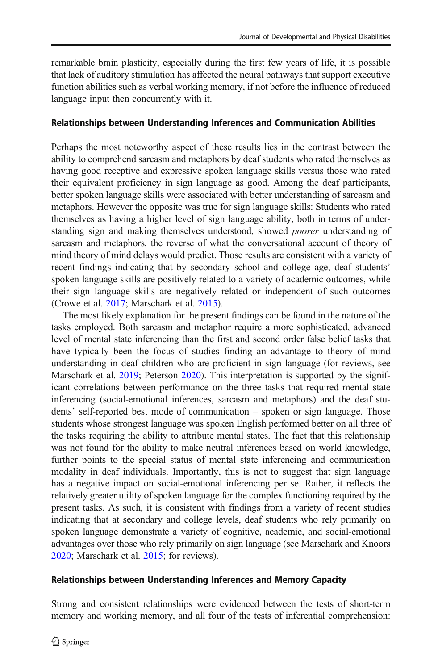remarkable brain plasticity, especially during the first few years of life, it is possible that lack of auditory stimulation has affected the neural pathways that support executive function abilities such as verbal working memory, if not before the influence of reduced language input then concurrently with it.

### Relationships between Understanding Inferences and Communication Abilities

Perhaps the most noteworthy aspect of these results lies in the contrast between the ability to comprehend sarcasm and metaphors by deaf students who rated themselves as having good receptive and expressive spoken language skills versus those who rated their equivalent proficiency in sign language as good. Among the deaf participants, better spoken language skills were associated with better understanding of sarcasm and metaphors. However the opposite was true for sign language skills: Students who rated themselves as having a higher level of sign language ability, both in terms of understanding sign and making themselves understood, showed poorer understanding of sarcasm and metaphors, the reverse of what the conversational account of theory of mind theory of mind delays would predict. Those results are consistent with a variety of recent findings indicating that by secondary school and college age, deaf students' spoken language skills are positively related to a variety of academic outcomes, while their sign language skills are negatively related or independent of such outcomes (Crowe et al. [2017;](#page-22-0) Marschark et al. [2015](#page-23-0)).

The most likely explanation for the present findings can be found in the nature of the tasks employed. Both sarcasm and metaphor require a more sophisticated, advanced level of mental state inferencing than the first and second order false belief tasks that have typically been the focus of studies finding an advantage to theory of mind understanding in deaf children who are proficient in sign language (for reviews, see Marschark et al. [2019;](#page-23-0) Peterson [2020\)](#page-24-0). This interpretation is supported by the significant correlations between performance on the three tasks that required mental state inferencing (social-emotional inferences, sarcasm and metaphors) and the deaf students' self-reported best mode of communication – spoken or sign language. Those students whose strongest language was spoken English performed better on all three of the tasks requiring the ability to attribute mental states. The fact that this relationship was not found for the ability to make neutral inferences based on world knowledge, further points to the special status of mental state inferencing and communication modality in deaf individuals. Importantly, this is not to suggest that sign language has a negative impact on social-emotional inferencing per se. Rather, it reflects the relatively greater utility of spoken language for the complex functioning required by the present tasks. As such, it is consistent with findings from a variety of recent studies indicating that at secondary and college levels, deaf students who rely primarily on spoken language demonstrate a variety of cognitive, academic, and social-emotional advantages over those who rely primarily on sign language (see Marschark and Knoors [2020;](#page-23-0) Marschark et al. [2015](#page-23-0); for reviews).

#### Relationships between Understanding Inferences and Memory Capacity

Strong and consistent relationships were evidenced between the tests of short-term memory and working memory, and all four of the tests of inferential comprehension: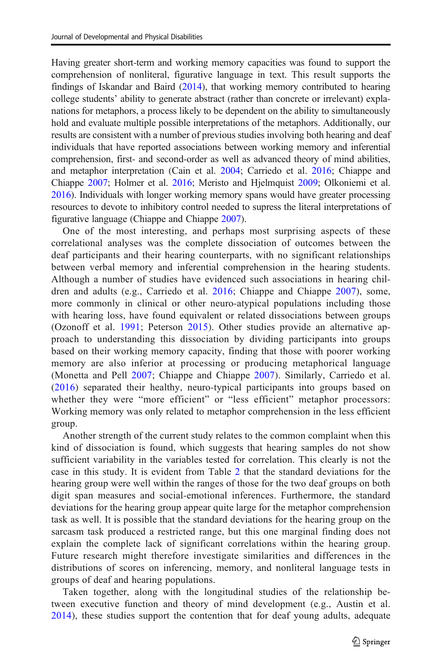Having greater short-term and working memory capacities was found to support the comprehension of nonliteral, figurative language in text. This result supports the findings of Iskandar and Baird [\(2014\)](#page-23-0), that working memory contributed to hearing college students' ability to generate abstract (rather than concrete or irrelevant) explanations for metaphors, a process likely to be dependent on the ability to simultaneously hold and evaluate multiple possible interpretations of the metaphors. Additionally, our results are consistent with a number of previous studies involving both hearing and deaf individuals that have reported associations between working memory and inferential comprehension, first- and second-order as well as advanced theory of mind abilities, and metaphor interpretation (Cain et al. [2004](#page-22-0); Carriedo et al. [2016;](#page-22-0) Chiappe and Chiappe [2007;](#page-22-0) Holmer et al. [2016;](#page-23-0) Meristo and Hjelmquist [2009](#page-24-0); Olkoniemi et al. [2016\)](#page-24-0). Individuals with longer working memory spans would have greater processing resources to devote to inhibitory control needed to supress the literal interpretations of figurative language (Chiappe and Chiappe [2007\)](#page-22-0).

One of the most interesting, and perhaps most surprising aspects of these correlational analyses was the complete dissociation of outcomes between the deaf participants and their hearing counterparts, with no significant relationships between verbal memory and inferential comprehension in the hearing students. Although a number of studies have evidenced such associations in hearing children and adults (e.g., Carriedo et al. [2016;](#page-22-0) Chiappe and Chiappe [2007](#page-22-0)), some, more commonly in clinical or other neuro-atypical populations including those with hearing loss, have found equivalent or related dissociations between groups (Ozonoff et al. [1991;](#page-24-0) Peterson [2015](#page-24-0)). Other studies provide an alternative approach to understanding this dissociation by dividing participants into groups based on their working memory capacity, finding that those with poorer working memory are also inferior at processing or producing metaphorical language (Monetta and Pell [2007](#page-24-0); Chiappe and Chiappe [2007](#page-22-0)). Similarly, Carriedo et al. [\(2016\)](#page-22-0) separated their healthy, neuro-typical participants into groups based on whether they were "more efficient" or "less efficient" metaphor processors: Working memory was only related to metaphor comprehension in the less efficient group.

Another strength of the current study relates to the common complaint when this kind of dissociation is found, which suggests that hearing samples do not show sufficient variability in the variables tested for correlation. This clearly is not the case in this study. It is evident from Table [2](#page-10-0) that the standard deviations for the hearing group were well within the ranges of those for the two deaf groups on both digit span measures and social-emotional inferences. Furthermore, the standard deviations for the hearing group appear quite large for the metaphor comprehension task as well. It is possible that the standard deviations for the hearing group on the sarcasm task produced a restricted range, but this one marginal finding does not explain the complete lack of significant correlations within the hearing group. Future research might therefore investigate similarities and differences in the distributions of scores on inferencing, memory, and nonliteral language tests in groups of deaf and hearing populations.

Taken together, along with the longitudinal studies of the relationship between executive function and theory of mind development (e.g., Austin et al. [2014](#page-21-0)), these studies support the contention that for deaf young adults, adequate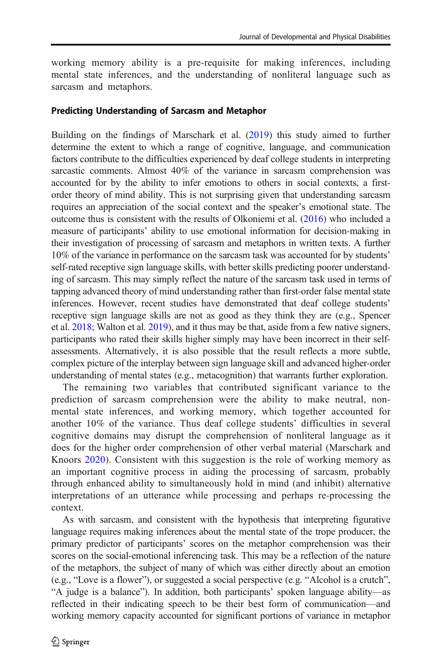working memory ability is a pre-requisite for making inferences, including mental state inferences, and the understanding of nonliteral language such as sarcasm and metaphors.

#### Predicting Understanding of Sarcasm and Metaphor

Building on the findings of Marschark et al. ([2019\)](#page-23-0) this study aimed to further determine the extent to which a range of cognitive, language, and communication factors contribute to the difficulties experienced by deaf college students in interpreting sarcastic comments. Almost 40% of the variance in sarcasm comprehension was accounted for by the ability to infer emotions to others in social contexts, a firstorder theory of mind ability. This is not surprising given that understanding sarcasm requires an appreciation of the social context and the speaker's emotional state. The outcome thus is consistent with the results of Olkoniemi et al. ([2016](#page-24-0)) who included a measure of participants' ability to use emotional information for decision-making in their investigation of processing of sarcasm and metaphors in written texts. A further 10% of the variance in performance on the sarcasm task was accounted for by students' self-rated receptive sign language skills, with better skills predicting poorer understanding of sarcasm. This may simply reflect the nature of the sarcasm task used in terms of tapping advanced theory of mind understanding rather than first-order false mental state inferences. However, recent studies have demonstrated that deaf college students' receptive sign language skills are not as good as they think they are (e.g., Spencer et al. [2018](#page-25-0); Walton et al. [2019](#page-25-0)), and it thus may be that, aside from a few native signers, participants who rated their skills higher simply may have been incorrect in their selfassessments. Alternatively, it is also possible that the result reflects a more subtle, complex picture of the interplay between sign language skill and advanced higher-order understanding of mental states (e.g., metacognition) that warrants further exploration.

The remaining two variables that contributed significant variance to the prediction of sarcasm comprehension were the ability to make neutral, nonmental state inferences, and working memory, which together accounted for another 10% of the variance. Thus deaf college students' difficulties in several cognitive domains may disrupt the comprehension of nonliteral language as it does for the higher order comprehension of other verbal material (Marschark and Knoors [2020\)](#page-23-0). Consistent with this suggestion is the role of working memory as an important cognitive process in aiding the processing of sarcasm, probably through enhanced ability to simultaneously hold in mind (and inhibit) alternative interpretations of an utterance while processing and perhaps re-processing the context.

As with sarcasm, and consistent with the hypothesis that interpreting figurative language requires making inferences about the mental state of the trope producer, the primary predictor of participants' scores on the metaphor comprehension was their scores on the social-emotional inferencing task. This may be a reflection of the nature of the metaphors, the subject of many of which was either directly about an emotion (e.g., "Love is a flower"), or suggested a social perspective (e.g. "Alcohol is a crutch", "A judge is a balance"). In addition, both participants' spoken language ability—as reflected in their indicating speech to be their best form of communication—and working memory capacity accounted for significant portions of variance in metaphor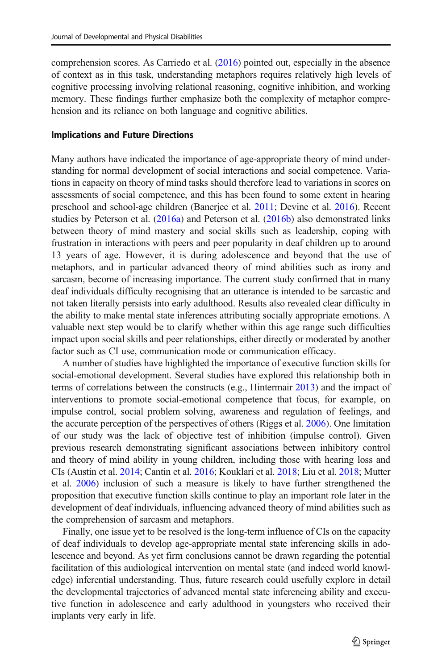comprehension scores. As Carriedo et al. [\(2016\)](#page-22-0) pointed out, especially in the absence of context as in this task, understanding metaphors requires relatively high levels of cognitive processing involving relational reasoning, cognitive inhibition, and working memory. These findings further emphasize both the complexity of metaphor comprehension and its reliance on both language and cognitive abilities.

#### Implications and Future Directions

Many authors have indicated the importance of age-appropriate theory of mind understanding for normal development of social interactions and social competence. Variations in capacity on theory of mind tasks should therefore lead to variations in scores on assessments of social competence, and this has been found to some extent in hearing preschool and school-age children (Banerjee et al. [2011;](#page-21-0) Devine et al. [2016\)](#page-22-0). Recent studies by Peterson et al. ([2016a\)](#page-24-0) and Peterson et al. [\(2016b](#page-24-0)) also demonstrated links between theory of mind mastery and social skills such as leadership, coping with frustration in interactions with peers and peer popularity in deaf children up to around 13 years of age. However, it is during adolescence and beyond that the use of metaphors, and in particular advanced theory of mind abilities such as irony and sarcasm, become of increasing importance. The current study confirmed that in many deaf individuals difficulty recognising that an utterance is intended to be sarcastic and not taken literally persists into early adulthood. Results also revealed clear difficulty in the ability to make mental state inferences attributing socially appropriate emotions. A valuable next step would be to clarify whether within this age range such difficulties impact upon social skills and peer relationships, either directly or moderated by another factor such as CI use, communication mode or communication efficacy.

A number of studies have highlighted the importance of executive function skills for social-emotional development. Several studies have explored this relationship both in terms of correlations between the constructs (e.g., Hintermair [2013](#page-22-0)) and the impact of interventions to promote social-emotional competence that focus, for example, on impulse control, social problem solving, awareness and regulation of feelings, and the accurate perception of the perspectives of others (Riggs et al. [2006](#page-25-0)). One limitation of our study was the lack of objective test of inhibition (impulse control). Given previous research demonstrating significant associations between inhibitory control and theory of mind ability in young children, including those with hearing loss and CIs (Austin et al. [2014;](#page-21-0) Cantin et al. [2016;](#page-22-0) Kouklari et al. [2018](#page-23-0); Liu et al. [2018;](#page-23-0) Mutter et al. [2006](#page-24-0)) inclusion of such a measure is likely to have further strengthened the proposition that executive function skills continue to play an important role later in the development of deaf individuals, influencing advanced theory of mind abilities such as the comprehension of sarcasm and metaphors.

Finally, one issue yet to be resolved is the long-term influence of CIs on the capacity of deaf individuals to develop age-appropriate mental state inferencing skills in adolescence and beyond. As yet firm conclusions cannot be drawn regarding the potential facilitation of this audiological intervention on mental state (and indeed world knowledge) inferential understanding. Thus, future research could usefully explore in detail the developmental trajectories of advanced mental state inferencing ability and executive function in adolescence and early adulthood in youngsters who received their implants very early in life.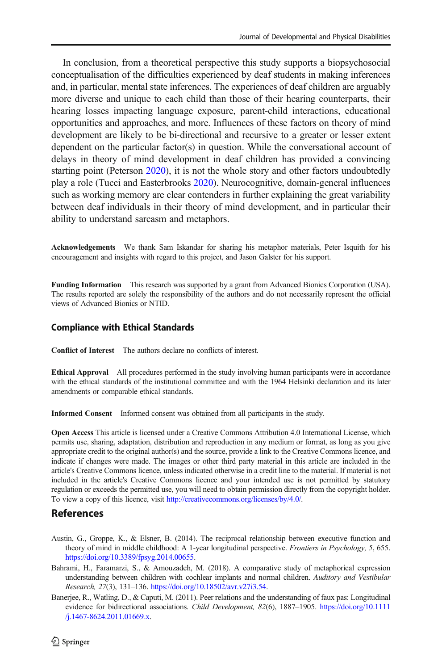<span id="page-21-0"></span>In conclusion, from a theoretical perspective this study supports a biopsychosocial conceptualisation of the difficulties experienced by deaf students in making inferences and, in particular, mental state inferences. The experiences of deaf children are arguably more diverse and unique to each child than those of their hearing counterparts, their hearing losses impacting language exposure, parent-child interactions, educational opportunities and approaches, and more. Influences of these factors on theory of mind development are likely to be bi-directional and recursive to a greater or lesser extent dependent on the particular factor(s) in question. While the conversational account of delays in theory of mind development in deaf children has provided a convincing starting point (Peterson [2020\)](#page-24-0), it is not the whole story and other factors undoubtedly play a role (Tucci and Easterbrooks [2020\)](#page-25-0). Neurocognitive, domain-general influences such as working memory are clear contenders in further explaining the great variability between deaf individuals in their theory of mind development, and in particular their ability to understand sarcasm and metaphors.

Acknowledgements We thank Sam Iskandar for sharing his metaphor materials, Peter Isquith for his encouragement and insights with regard to this project, and Jason Galster for his support.

Funding Information This research was supported by a grant from Advanced Bionics Corporation (USA). The results reported are solely the responsibility of the authors and do not necessarily represent the official views of Advanced Bionics or NTID.

#### Compliance with Ethical Standards

Conflict of Interest The authors declare no conflicts of interest.

Ethical Approval All procedures performed in the study involving human participants were in accordance with the ethical standards of the institutional committee and with the 1964 Helsinki declaration and its later amendments or comparable ethical standards.

Informed Consent Informed consent was obtained from all participants in the study.

Open Access This article is licensed under a Creative Commons Attribution 4.0 International License, which permits use, sharing, adaptation, distribution and reproduction in any medium or format, as long as you give appropriate credit to the original author(s) and the source, provide a link to the Creative Commons licence, and indicate if changes were made. The images or other third party material in this article are included in the article's Creative Commons licence, unless indicated otherwise in a credit line to the material. If material is not included in the article's Creative Commons licence and your intended use is not permitted by statutory regulation or exceeds the permitted use, you will need to obtain permission directly from the copyright holder. To view a copy of this licence, visit <http://creativecommons.org/licenses/by/4.0/>.

# References

- Austin, G., Groppe, K., & Elsner, B. (2014). The reciprocal relationship between executive function and theory of mind in middle childhood: A 1-year longitudinal perspective. Frontiers in Psychology, 5, 655. [https://doi.org/10.3389/fpsyg.2014.00655.](http://creativecommons.org/licenses/by/4.0/)
- Bahrami, H., Faramarzi, S., & Amouzadeh, M. (2018). A comparative study of metaphorical expression understanding between children with cochlear implants and normal children. Auditory and Vestibular Research, 27(3), 131–136. [https://doi.org/10.18502/avr.v27i3.54.](https://doi.org/10.18502/avr.v27i3.54)
- Banerjee, R., Watling, D., & Caputi, M. (2011). Peer relations and the understanding of faux pas: Longitudinal evidence for bidirectional associations. Child Development, 82(6), 1887–1905. [https://doi.org/10.1111](https://doi.org/10.1111/j.1467-8624.2011.01669.x) [/j.1467-8624.2011.01669.x.](https://doi.org/10.1111/j.1467-8624.2011.01669.x)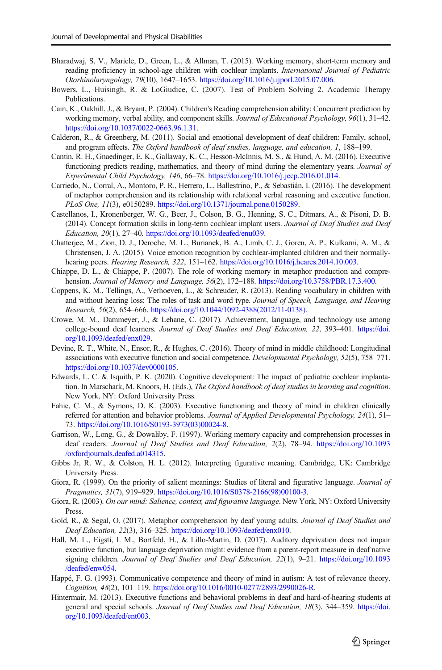- <span id="page-22-0"></span>Bharadwaj, S. V., Maricle, D., Green, L., & Allman, T. (2015). Working memory, short-term memory and reading proficiency in school-age children with cochlear implants. International Journal of Pediatric Otorhinolaryngology, 79(10), 1647–1653. <https://doi.org/10.1016/j.ijporl.2015.07.006>.
- Bowers, L., Huisingh, R. & LoGiudice, C. (2007). Test of Problem Solving 2. Academic Therapy Publications.
- Cain, K., Oakhill, J., & Bryant, P. (2004). Children's Reading comprehension ability: Concurrent prediction by working memory, verbal ability, and component skills. Journal of Educational Psychology, 96(1), 31–42. [https://doi.org/10.1037/0022-0663.96.1.31.](https://doi.org/10.1037/0022-0663.96.1.31)
- Calderon, R., & Greenberg, M. (2011). Social and emotional development of deaf children: Family, school, and program effects. The Oxford handbook of deaf studies, language, and education, 1, 188–199.
- Cantin, R. H., Gnaedinger, E. K., Gallaway, K. C., Hesson-McInnis, M. S., & Hund, A. M. (2016). Executive functioning predicts reading, mathematics, and theory of mind during the elementary years. Journal of Experimental Child Psychology, 146, 66–78. <https://doi.org/10.1016/j.jecp.2016.01.014>.
- Carriedo, N., Corral, A., Montoro, P. R., Herrero, L., Ballestrino, P., & Sebastián, I. (2016). The development of metaphor comprehension and its relationship with relational verbal reasoning and executive function. PLoS One, 11(3), e0150289. <https://doi.org/10.1371/journal.pone.0150289>.
- Castellanos, I., Kronenberger, W. G., Beer, J., Colson, B. G., Henning, S. C., Ditmars, A., & Pisoni, D. B. (2014). Concept formation skills in long-term cochlear implant users. Journal of Deaf Studies and Deaf Education, 20(1), 27–40. [https://doi.org/10.1093/deafed/enu039.](https://doi.org/10.1093/deafed/enu039)
- Chatterjee, M., Zion, D. J., Deroche, M. L., Burianek, B. A., Limb, C. J., Goren, A. P., Kulkarni, A. M., & Christensen, J. A. (2015). Voice emotion recognition by cochlear-implanted children and their normallyhearing peers. *Hearing Research*, 322, 151-162. [https://doi.org/10.1016/j.heares.2014.10.003.](https://doi.org/10.1016/j.heares.2014.10.003)
- Chiappe, D. L., & Chiappe, P. (2007). The role of working memory in metaphor production and comprehension. Journal of Memory and Language, 56(2), 172-188. [https://doi.org/10.3758/PBR.17.3.400.](http://creativecommons.org/licenses/by/4.0/)
- Coppens, K. M., Tellings, A., Verhoeven, L., & Schreuder, R. (2013). Reading vocabulary in children with and without hearing loss: The roles of task and word type. Journal of Speech, Language, and Hearing Research, 56(2), 654–666. [https://doi.org/10.1044/1092-4388\(2012/11-0138\).](https://doi.org/10.1044/1092-4388(2012/�11-0138))
- Crowe, M. M., Dammeyer, J., & Lehane, C. (2017). Achievement, language, and technology use among college-bound deaf learners. Journal of Deaf Studies and Deaf Education, 22, 393–401. [https://doi.](https://doi.org/10.1093/deafed/enx029) [org/10.1093/deafed/enx029.](https://doi.org/10.1093/deafed/enx029)
- Devine, R. T., White, N., Ensor, R., & Hughes, C. (2016). Theory of mind in middle childhood: Longitudinal associations with executive function and social competence. Developmental Psychology, 52(5), 758–771. <https://doi.org/10.1037/dev0000105>.
- Edwards, L. C. & Isquith, P. K. (2020). Cognitive development: The impact of pediatric cochlear implantation. In Marschark, M. Knoors, H. (Eds.), The Oxford handbook of deaf studies in learning and cognition. New York, NY: Oxford University Press.
- Fahie, C. M., & Symons, D. K. (2003). Executive functioning and theory of mind in children clinically referred for attention and behavior problems. Journal of Applied Developmental Psychology, 24(1), 51– 73. [https://doi.org/10.1016/S0193-3973\(03\)00024-8](https://doi.org/10.1016/S0193-3973(03)00024-8).
- Garrison, W., Long, G., & Dowaliby, F. (1997). Working memory capacity and comprehension processes in deaf readers. Journal of Deaf Studies and Deaf Education, 2(2), 78–94. [https://doi.org/10.1093](https://doi.org/10.1093/oxfordjournals.deafed.a014315) [/oxfordjournals.deafed.a014315.](https://doi.org/10.1093/oxfordjournals.deafed.a014315)
- Gibbs Jr, R. W., & Colston, H. L. (2012). Interpreting figurative meaning. Cambridge, UK: Cambridge University Press.
- Giora, R. (1999). On the priority of salient meanings: Studies of literal and figurative language. Journal of Pragmatics, 31(7), 919–929. [https://doi.org/10.1016/S0378-2166\(98\)00100-3](https://doi.org/10.1016/S0378-2166(98)00100-3).
- Giora, R. (2003). On our mind: Salience, context, and figurative language. New York, NY: Oxford University Press.
- Gold, R., & Segal, O. (2017). Metaphor comprehension by deaf young adults. Journal of Deaf Studies and Deaf Education, 22(3), 316–325. [https://doi.org/10.1093/deafed/enx010.](https://doi.org/10.1093/deafed/enx010)
- Hall, M. L., Eigsti, I. M., Bortfeld, H., & Lillo-Martin, D. (2017). Auditory deprivation does not impair executive function, but language deprivation might: evidence from a parent-report measure in deaf native signing children. Journal of Deaf Studies and Deaf Education, 22(1), 9-21. [https://doi.org/10.1093](http://creativecommons.org/licenses/by/4.0/) [/deafed/enw054.](http://creativecommons.org/licenses/by/4.0/)
- Happé, F. G. (1993). Communicative competence and theory of mind in autism: A test of relevance theory. Cognition, 48(2), 101–119. <https://doi.org/10.1016/0010-0277/2893/2990026-R>.
- Hintermair, M. (2013). Executive functions and behavioral problems in deaf and hard-of-hearing students at general and special schools. Journal of Deaf Studies and Deaf Education, 18(3), 344–359. [https://doi.](https://doi.org/10.1093/deafed/ent003) [org/10.1093/deafed/ent003.](https://doi.org/10.1093/deafed/ent003)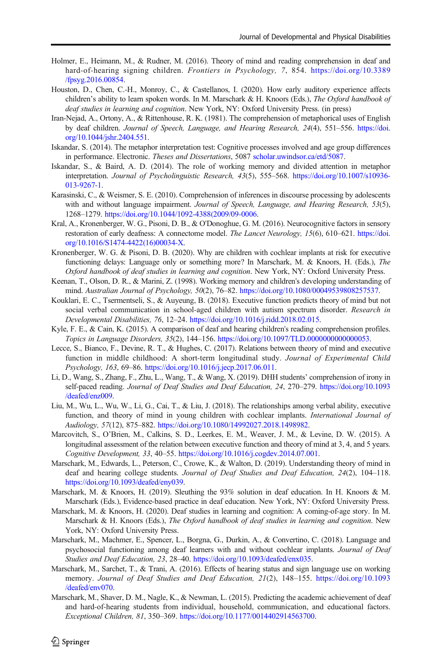- <span id="page-23-0"></span>Holmer, E., Heimann, M., & Rudner, M. (2016). Theory of mind and reading comprehension in deaf and hard-of-hearing signing children. Frontiers in Psychology, 7, 854. [https://doi.org/10.3389](https://doi.org/10.3389/fpsyg.2016.00854) [/fpsyg.2016.00854.](https://doi.org/10.3389/fpsyg.2016.00854)
- Houston, D., Chen, C.-H., Monroy, C., & Castellanos, I. (2020). How early auditory experience affects children's ability to learn spoken words. In M. Marschark & H. Knoors (Eds.), The Oxford handbook of deaf studies in learning and cognition. New York, NY: Oxford University Press. (in press)
- Iran-Nejad, A., Ortony, A., & Rittenhouse, R. K. (1981). The comprehension of metaphorical uses of English by deaf children. Journal of Speech, Language, and Hearing Research, 24(4), 551–556. [https://doi.](https://doi.org/10.1044/jshr.2404.551) [org/10.1044/jshr.2404.551.](https://doi.org/10.1044/jshr.2404.551)
- Iskandar, S. (2014). The metaphor interpretation test: Cognitive processes involved and age group differences in performance. Electronic. Theses and Dissertations, 5087 [scholar.uwindsor.ca/etd/5087.](https://scholar.uwindsor.ca/etd/5087)
- Iskandar, S., & Baird, A. D. (2014). The role of working memory and divided attention in metaphor interpretation. Journal of Psycholinguistic Research, 43(5), 555–568. [https://doi.org/10.1007/s10936-](https://doi.org/10.1007/s10936-013-9267-1) [013-9267-1.](https://doi.org/10.1007/s10936-013-9267-1)
- Karasinski, C., & Weismer, S. E. (2010). Comprehension of inferences in discourse processing by adolescents with and without language impairment. Journal of Speech, Language, and Hearing Research, 53(5), 1268–1279. [https://doi.org/10.1044/1092-4388\(2009/09-0006](https://doi.org/10.1044/1092-4388(2009/�09-0006).
- Kral, A., Kronenberger, W. G., Pisoni, D. B., & O'Donoghue, G. M. (2016). Neurocognitive factors in sensory restoration of early deafness: A connectome model. The Lancet Neurology, 15(6), 610–621. [https://doi.](https://doi.org/10.1016/S1474-4422(16)00034-X) [org/10.1016/S1474-4422\(16\)00034-X](https://doi.org/10.1016/S1474-4422(16)00034-X).
- Kronenberger, W. G. & Pisoni, D. B. (2020). Why are children with cochlear implants at risk for executive functioning delays: Language only or something more? In Marschark, M. & Knoors, H. (Eds.), The Oxford handbook of deaf studies in learning and cognition. New York, NY: Oxford University Press.
- Keenan, T., Olson, D. R., & Marini, Z. (1998). Working memory and children's developing understanding of mind. Australian Journal of Psychology, 50(2), 76–82. <https://doi.org/10.1080/00049539808257537>.
- Kouklari, E. C., Tsermentseli, S., & Auyeung, B. (2018). Executive function predicts theory of mind but not social verbal communication in school-aged children with autism spectrum disorder. Research in Developmental Disabilities, 76, 12–24. [https://doi.org/10.1016/j.ridd.2018.02.015.](https://doi.org/10.1016/j.ridd.2018.02.015)
- Kyle, F. E., & Cain, K. (2015). A comparison of deaf and hearing children's reading comprehension profiles. Topics in Language Disorders, 35(2), 144–156. [https://doi.org/10.1097/TLD.0000000000000053.](https://doi.org/10.1097/TLD.0000000000000053)
- Lecce, S., Bianco, F., Devine, R. T., & Hughes, C. (2017). Relations between theory of mind and executive function in middle childhood: A short-term longitudinal study. Journal of Experimental Child Psychology, 163, 69–86. <https://doi.org/10.1016/j.jecp.2017.06.011>.
- Li, D., Wang, S., Zhang, F., Zhu, L., Wang, T., & Wang, X. (2019). DHH students' comprehension of irony in self-paced reading. Journal of Deaf Studies and Deaf Education, 24, 270–279. [https://doi.org/10.1093](https://doi.org/10.1093/deafed/enz009) [/deafed/enz009.](https://doi.org/10.1093/deafed/enz009)
- Liu, M., Wu, L., Wu, W., Li, G., Cai, T., & Liu, J. (2018). The relationships among verbal ability, executive function, and theory of mind in young children with cochlear implants. International Journal of Audiology, 57(12), 875–882. <https://doi.org/10.1080/14992027.2018.1498982>.
- Marcovitch, S., O'Brien, M., Calkins, S. D., Leerkes, E. M., Weaver, J. M., & Levine, D. W. (2015). A longitudinal assessment of the relation between executive function and theory of mind at 3, 4, and 5 years. Cognitive Development, 33, 40–55. <https://doi.org/10.1016/j.cogdev.2014.07.001>.
- Marschark, M., Edwards, L., Peterson, C., Crowe, K., & Walton, D. (2019). Understanding theory of mind in deaf and hearing college students. Journal of Deaf Studies and Deaf Education, 24(2), 104–118. <https://doi.org/10.1093/deafed/eny039>.
- Marschark, M. & Knoors, H. (2019). Sleuthing the 93% solution in deaf education. In H. Knoors & M. Marschark (Eds.), Evidence-based practice in deaf education. New York, NY: Oxford University Press.
- Marschark, M. & Knoors, H. (2020). Deaf studies in learning and cognition: A coming-of-age story. In M. Marschark & H. Knoors (Eds.), The Oxford handbook of deaf studies in learning and cognition. New York, NY: Oxford University Press.
- Marschark, M., Machmer, E., Spencer, L., Borgna, G., Durkin, A., & Convertino, C. (2018). Language and psychosocial functioning among deaf learners with and without cochlear implants. Journal of Deaf Studies and Deaf Education, 23, 28–40. [https://doi.org/10.1093/deafed/enx035.](https://doi.org/10.1093/deafed/enx035)
- Marschark, M., Sarchet, T., & Trani, A. (2016). Effects of hearing status and sign language use on working memory. Journal of Deaf Studies and Deaf Education, 21(2), 148–155. [https://doi.org/10.1093](https://doi.org/10.1093/deafed/env070) [/deafed/env070](https://doi.org/10.1093/deafed/env070).
- Marschark, M., Shaver, D. M., Nagle, K., & Newman, L. (2015). Predicting the academic achievement of deaf and hard-of-hearing students from individual, household, communication, and educational factors. Exceptional Children, 81, 350–369. [https://doi.org/10.1177/0014402914563700.](https://doi.org/10.1177/0014402914563700)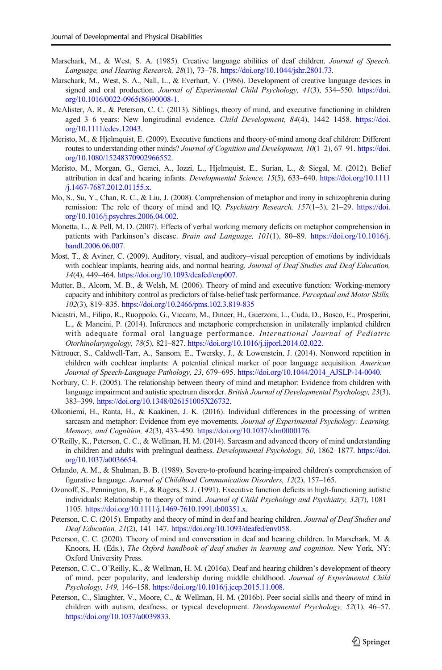- <span id="page-24-0"></span>Marschark, M., & West, S. A. (1985). Creative language abilities of deaf children. Journal of Speech, Language, and Hearing Research, 28(1), 73–78. [https://doi.org/10.1044/jshr.2801.73.](https://doi.org/10.1044/jshr.2801.73)
- Marschark, M., West, S. A., Nall, L., & Everhart, V. (1986). Development of creative language devices in signed and oral production. Journal of Experimental Child Psychology, 41(3), 534–550. [https://doi.](https://doi.org/10.1016/0022-0965(86)90008-1) [org/10.1016/0022-0965\(86\)90008-1](https://doi.org/10.1016/0022-0965(86)90008-1).
- McAlister, A. R., & Peterson, C. C. (2013). Siblings, theory of mind, and executive functioning in children aged 3–6 years: New longitudinal evidence. Child Development, 84(4), 1442–1458. [https://doi.](https://doi.org/10.1111/cdev.12043) [org/10.1111/cdev.12043](https://doi.org/10.1111/cdev.12043).
- Meristo, M., & Hjelmquist, E. (2009). Executive functions and theory-of-mind among deaf children: Different routes to understanding other minds? Journal of Cognition and Development, 10(1–2), 67–91. [https://doi.](https://doi.org/10.1080/15248370902966552) [org/10.1080/15248370902966552](https://doi.org/10.1080/15248370902966552).
- Meristo, M., Morgan, G., Geraci, A., Iozzi, L., Hjelmquist, E., Surian, L., & Siegal, M. (2012). Belief attribution in deaf and hearing infants. Developmental Science, 15(5), 633–640. [https://doi.org/10.1111](https://doi.org/10.1111/j.1467-7687.2012.01155.x) [/j.1467-7687.2012.01155.x.](https://doi.org/10.1111/j.1467-7687.2012.01155.x)
- Mo, S., Su, Y., Chan, R. C., & Liu, J. (2008). Comprehension of metaphor and irony in schizophrenia during remission: The role of theory of mind and IQ. Psychiatry Research, 157(1–3), 21–29. [https://doi.](https://doi.org/10.1016/j.psychres.2006.04.002) [org/10.1016/j.psychres.2006.04.002.](https://doi.org/10.1016/j.psychres.2006.04.002)
- Monetta, L., & Pell, M. D. (2007). Effects of verbal working memory deficits on metaphor comprehension in patients with Parkinson's disease. Brain and Language, 101(1), 80–89. [https://doi.org/10.1016/j.](https://doi.org/10.1016/j.bandl.2006.06.007) [bandl.2006.06.007.](https://doi.org/10.1016/j.bandl.2006.06.007)
- Most, T., & Aviner, C. (2009). Auditory, visual, and auditory–visual perception of emotions by individuals with cochlear implants, hearing aids, and normal hearing. Journal of Deaf Studies and Deaf Education, 14(4), 449–464. <https://doi.org/10.1093/deafed/enp007>.
- Mutter, B., Alcorn, M. B., & Welsh, M. (2006). Theory of mind and executive function: Working-memory capacity and inhibitory control as predictors of false-belief task performance. Perceptual and Motor Skills, 102(3), 819–835. <https://doi.org/10.2466/pms.102.3.819-835>
- Nicastri, M., Filipo, R., Ruoppolo, G., Viccaro, M., Dincer, H., Guerzoni, L., Cuda, D., Bosco, E., Prosperini, L., & Mancini, P. (2014). Inferences and metaphoric comprehension in unilaterally implanted children with adequate formal oral language performance. International Journal of Pediatric Otorhinolaryngology, 78(5), 821–827. [https://doi.org/10.1016/j.ijporl.2014.02.022.](https://doi.org/10.1016/j.ijporl.2014.02.022)
- Nittrouer, S., Caldwell-Tarr, A., Sansom, E., Twersky, J., & Lowenstein, J. (2014). Nonword repetition in children with cochlear implants: A potential clinical marker of poor language acquisition. American Journal of Speech-Language Pathology, 23, 679–695. [https://doi.org/10.1044/2014\\_AJSLP-14-0040.](https://doi.org/10.1044/2014_AJSLP-14-0040)
- Norbury, C. F. (2005). The relationship between theory of mind and metaphor: Evidence from children with language impairment and autistic spectrum disorder. British Journal of Developmental Psychology, 23(3), 383–399. <https://doi.org/10.1348/026151005X26732>.
- Olkoniemi, H., Ranta, H., & Kaakinen, J. K. (2016). Individual differences in the processing of written sarcasm and metaphor: Evidence from eye movements. Journal of Experimental Psychology: Learning, Memory, and Cognition, 42(3), 433–450. <https://doi.org/10.1037/xlm0000176>.
- O'Reilly, K., Peterson, C. C., & Wellman, H. M. (2014). Sarcasm and advanced theory of mind understanding in children and adults with prelingual deafness. Developmental Psychology, 50, 1862–1877. [https://doi.](https://doi.org/10.1037/a0036654) [org/10.1037/a0036654.](https://doi.org/10.1037/a0036654)
- Orlando, A. M., & Shulman, B. B. (1989). Severe-to-profound hearing-impaired children's comprehension of figurative language. Journal of Childhood Communication Disorders, 12(2), 157–165.
- Ozonoff, S., Pennington, B. F., & Rogers, S. J. (1991). Executive function deficits in high-functioning autistic individuals: Relationship to theory of mind. Journal of Child Psychology and Psychiatry, 32(7), 1081– 1105. [https://doi.org/10.1111/j.1469-7610.1991.tb00351.x.](https://doi.org/10.1111/j.1469-7610.1991.tb00351.x)
- Peterson, C. C. (2015). Empathy and theory of mind in deaf and hearing children. Journal of Deaf Studies and Deaf Education, 21(2), 141–147. [https://doi.org/10.1093/deafed/env058.](https://doi.org/10.1093/deafed/env058)
- Peterson, C. C. (2020). Theory of mind and conversation in deaf and hearing children. In Marschark, M. & Knoors, H. (Eds.), The Oxford handbook of deaf studies in learning and cognition. New York, NY: Oxford University Press.
- Peterson, C. C., O'Reilly, K., & Wellman, H. M. (2016a). Deaf and hearing children's development of theory of mind, peer popularity, and leadership during middle childhood. Journal of Experimental Child Psychology, 149, 146–158. <https://doi.org/10.1016/j.jcep.2015.11.008>.
- Peterson, C., Slaughter, V., Moore, C., & Wellman, H. M. (2016b). Peer social skills and theory of mind in children with autism, deafness, or typical development. *Developmental Psychology*, 52(1), 46–57. [https://doi.org/10.1037/a0039833.](https://doi.org/10.1037/a0039833)